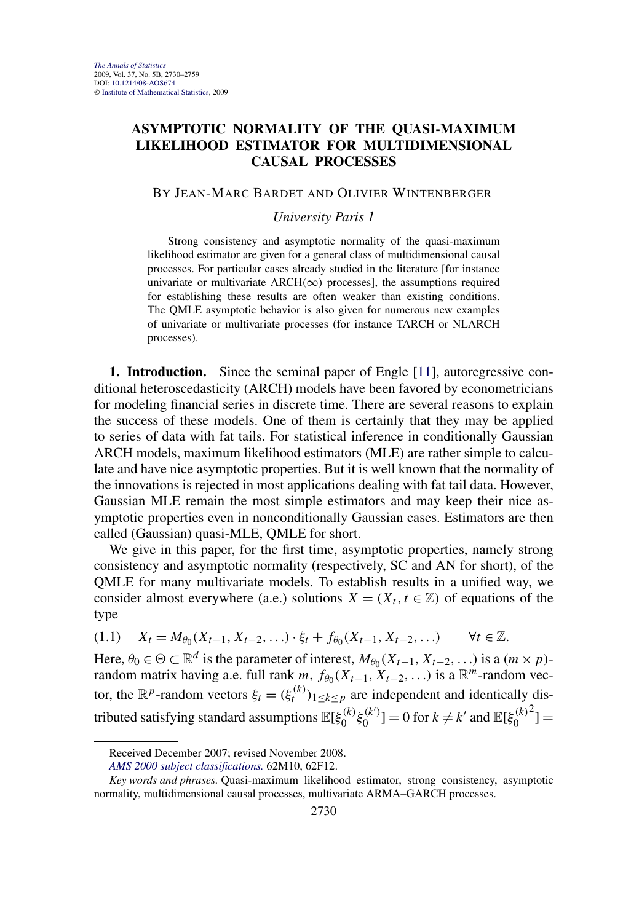# <span id="page-0-0"></span>**ASYMPTOTIC NORMALITY OF THE QUASI-MAXIMUM LIKELIHOOD ESTIMATOR FOR MULTIDIMENSIONAL CAUSAL PROCESSES**

### BY JEAN-MARC BARDET AND OLIVIER WINTENBERGER

## *University Paris 1*

Strong consistency and asymptotic normality of the quasi-maximum likelihood estimator are given for a general class of multidimensional causal processes. For particular cases already studied in the literature [for instance univariate or multivariate  $ARCH(\infty)$  processes], the assumptions required for establishing these results are often weaker than existing conditions. The QMLE asymptotic behavior is also given for numerous new examples of univariate or multivariate processes (for instance TARCH or NLARCH processes).

**1. Introduction.** Since the seminal paper of Engle [\[11\]](#page-28-0), autoregressive conditional heteroscedasticity (ARCH) models have been favored by econometricians for modeling financial series in discrete time. There are several reasons to explain the success of these models. One of them is certainly that they may be applied to series of data with fat tails. For statistical inference in conditionally Gaussian ARCH models, maximum likelihood estimators (MLE) are rather simple to calculate and have nice asymptotic properties. But it is well known that the normality of the innovations is rejected in most applications dealing with fat tail data. However, Gaussian MLE remain the most simple estimators and may keep their nice asymptotic properties even in nonconditionally Gaussian cases. Estimators are then called (Gaussian) quasi-MLE, QMLE for short.

We give in this paper, for the first time, asymptotic properties, namely strong consistency and asymptotic normality (respectively, SC and AN for short), of the QMLE for many multivariate models. To establish results in a unified way, we consider almost everywhere (a.e.) solutions  $X = (X_t, t \in \mathbb{Z})$  of equations of the type

$$
(1.1) \tX_t = M_{\theta_0}(X_{t-1}, X_{t-2}, \ldots) \cdot \xi_t + f_{\theta_0}(X_{t-1}, X_{t-2}, \ldots) \t\forall t \in \mathbb{Z}.
$$

Here,  $\theta_0 \in \Theta \subset \mathbb{R}^d$  is the parameter of interest,  $M_{\theta_0}(X_{t-1}, X_{t-2}, \ldots)$  is a  $(m \times p)$ random matrix having a.e. full rank *m*,  $f_{\theta_0}(X_{t-1}, X_{t-2},...)$  is a  $\mathbb{R}^m$ -random vector, the  $\mathbb{R}^p$ -random vectors  $\xi_t = (\xi_t^{(k)})_{1 \le k \le p}$  are independent and identically distributed satisfying standard assumptions  $\mathbb{E}[\xi_0^{(k)}\xi_0^{(k')}] = 0$  for  $k \neq k'$  and  $\mathbb{E}[\xi_0^{(k)}]$  $2^{2}$ ] =

Received December 2007; revised November 2008.

*[AMS 2000 subject classifications.](http://www.ams.org/msc/)* 62M10, 62F12.

*Key words and phrases.* Quasi-maximum likelihood estimator, strong consistency, asymptotic normality, multidimensional causal processes, multivariate ARMA–GARCH processes.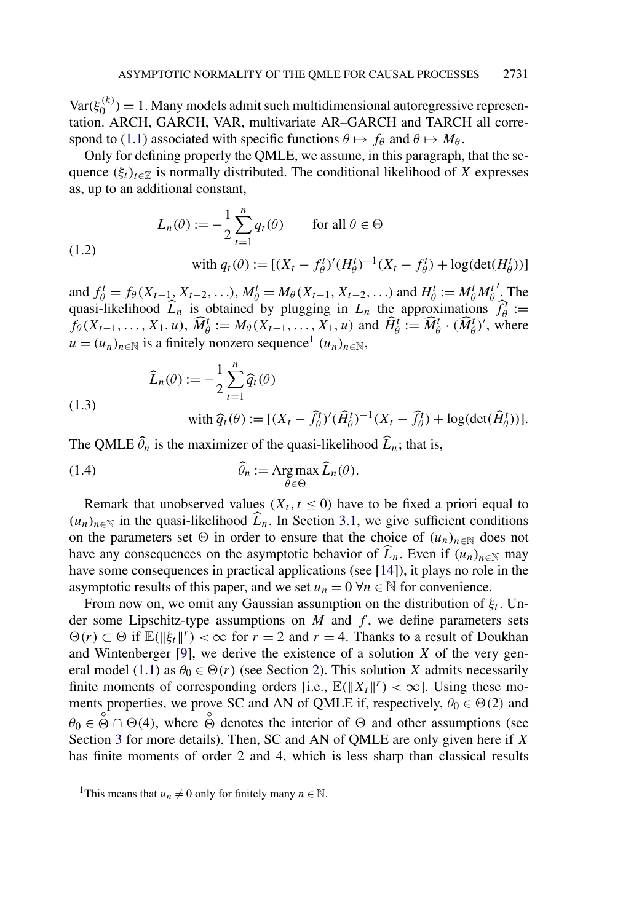<span id="page-1-0"></span> $Var(\xi_0^{(k)}) = 1$ . Many models admit such multidimensional autoregressive representation. ARCH, GARCH, VAR, multivariate AR–GARCH and TARCH all corre-spond to [\(1.1\)](#page-0-0) associated with specific functions  $\theta \mapsto f_{\theta}$  and  $\theta \mapsto M_{\theta}$ .

Only for defining properly the QMLE, we assume, in this paragraph, that the sequence  $(\xi_t)_{t \in \mathbb{Z}}$  is normally distributed. The conditional likelihood of *X* expresses as, up to an additional constant,

$$
L_n(\theta) := -\frac{1}{2} \sum_{t=1}^n q_t(\theta) \qquad \text{for all } \theta \in \Theta
$$
  
with  $q_t(\theta) := [(X_t - f_\theta^t)' (H_\theta^t)^{-1} (X_t - f_\theta^t) + \log(\det(H_\theta^t))]$ 

and  $f_{\theta}^t = f_{\theta}(X_{t-1}, X_{t-2}, \ldots), M_{\theta}^t = M_{\theta}(X_{t-1}, X_{t-2}, \ldots)$  and  $H_{\theta}^t := M_{\theta}^t M_{\theta}^t$  *.* The quasi-likelihood  $\widehat{L}_n$  is obtained by plugging in  $L_n$  the approximations  $\widehat{f}_{\theta}^T :=$  $f_{\theta}(X_{t-1},...,X_1,u), \widehat{M}_{\theta}^t := M_{\theta}(X_{t-1},...,X_1,u)$  and  $\widehat{H}_{\theta}^t := \widehat{M}_{\theta}^t \cdot (\widehat{M}_{\theta}^t)'$ , where  $u = (u_n)_{n \in \mathbb{N}}$  is a finitely nonzero sequence<sup>1</sup>  $(u_n)_{n \in \mathbb{N}}$ ,

$$
\widehat{L}_n(\theta) := -\frac{1}{2} \sum_{t=1}^n \widehat{q}_t(\theta)
$$

 $(1)$ 

(1.3)

with 
$$
\hat{q}_t(\theta) := [(X_t - \hat{f}_{\theta}^t)'(\hat{H}_{\theta}^t)^{-1}(X_t - \hat{f}_{\theta}^t) + \log(\det(\hat{H}_{\theta}^t))].
$$

The QMLE  $\hat{\theta}_n$  is the maximizer of the quasi-likelihood  $\hat{L}_n$ ; that is,

(1.4) 
$$
\widehat{\theta}_n := \operatorname{Arg} \max_{\theta \in \Theta} \widehat{L}_n(\theta).
$$

Remark that unobserved values  $(X_t, t \leq 0)$  have to be fixed a priori equal to  $(u_n)_{n \in \mathbb{N}}$  in the quasi-likelihood  $L_n$ . In Section [3.1,](#page-6-0) we give sufficient conditions on the parameters set  $\Theta$  in order to ensure that the choice of  $(u_n)_{n\in\mathbb{N}}$  does not have any consequences on the asymptotic behavior of  $L_n$ . Even if  $(u_n)_{n \in \mathbb{N}}$  may have some consequences in practical applications (see [\[14\]](#page-28-0)), it plays no role in the asymptotic results of this paper, and we set  $u_n = 0 \,\forall n \in \mathbb{N}$  for convenience.

From now on, we omit any Gaussian assumption on the distribution of  $\xi_t$ . Under some Lipschitz-type assumptions on  $M$  and  $f$ , we define parameters sets  $\Theta(r)$  ⊂  $\Theta$  if  $\mathbb{E}(\|\xi_t\|^r) < \infty$  for *r* = 2 and *r* = 4. Thanks to a result of Doukhan and Wintenberger [\[9\]](#page-28-0), we derive the existence of a solution *X* of the very gen-eral model [\(1.1\)](#page-0-0) as  $\theta_0 \in \Theta(r)$  (see Section [2\)](#page-2-0). This solution *X* admits necessarily finite moments of corresponding orders [i.e.,  $\mathbb{E}(\|X_t\|^r) < \infty$ ]. Using these moments properties, we prove SC and AN of QMLE if, respectively,  $\theta_0 \in \Theta(2)$  and  $\theta_0 \in \mathcal{O} \cap \Theta(4)$ , where  $\mathcal{O}$  denotes the interior of  $\Theta$  and other assumptions (see Section [3](#page-6-0) for more details). Then, SC and AN of QMLE are only given here if *X* has finite moments of order 2 and 4, which is less sharp than classical results

<sup>&</sup>lt;sup>1</sup>This means that  $u_n \neq 0$  only for finitely many  $n \in \mathbb{N}$ .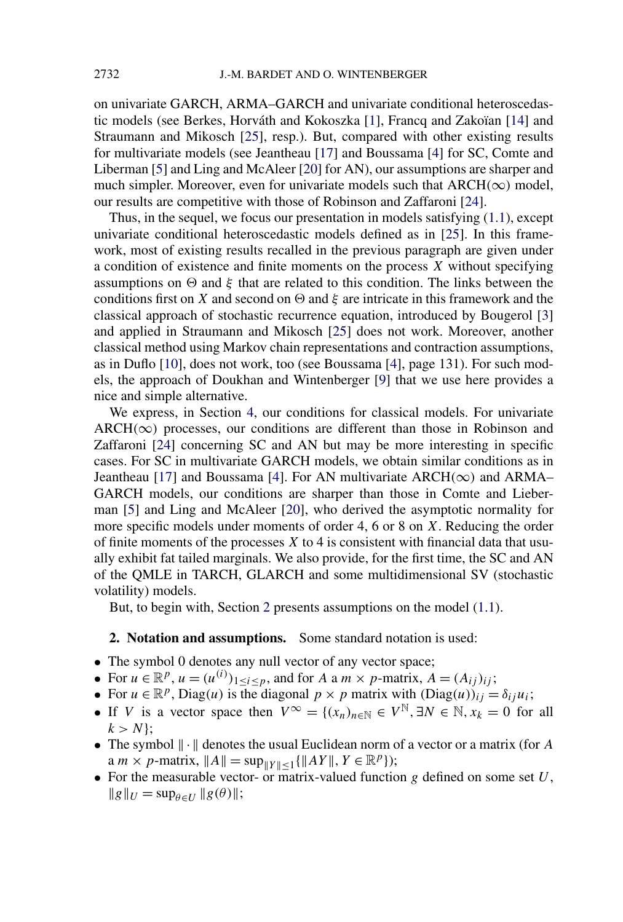<span id="page-2-0"></span>on univariate GARCH, ARMA–GARCH and univariate conditional heteroscedastic models (see Berkes, Horváth and Kokoszka [\[1\]](#page-28-0), Francq and Zakoïan [\[14\]](#page-28-0) and Straumann and Mikosch [\[25\]](#page-29-0), resp.). But, compared with other existing results for multivariate models (see Jeantheau [\[17\]](#page-29-0) and Boussama [\[4\]](#page-28-0) for SC, Comte and Liberman [\[5\]](#page-28-0) and Ling and McAleer [\[20\]](#page-29-0) for AN), our assumptions are sharper and much simpler. Moreover, even for univariate models such that  $ARCH(\infty)$  model, our results are competitive with those of Robinson and Zaffaroni [\[24\]](#page-29-0).

Thus, in the sequel, we focus our presentation in models satisfying [\(1.1\)](#page-0-0), except univariate conditional heteroscedastic models defined as in [\[25\]](#page-29-0). In this framework, most of existing results recalled in the previous paragraph are given under a condition of existence and finite moments on the process *X* without specifying assumptions on  $\Theta$  and  $\xi$  that are related to this condition. The links between the conditions first on *X* and second on  $\Theta$  and *ξ* are intricate in this framework and the classical approach of stochastic recurrence equation, introduced by Bougerol [\[3\]](#page-28-0) and applied in Straumann and Mikosch [\[25\]](#page-29-0) does not work. Moreover, another classical method using Markov chain representations and contraction assumptions, as in Duflo [\[10\]](#page-28-0), does not work, too (see Boussama [\[4\]](#page-28-0), page 131). For such models, the approach of Doukhan and Wintenberger [\[9\]](#page-28-0) that we use here provides a nice and simple alternative.

We express, in Section [4,](#page-7-0) our conditions for classical models. For univariate  $ARCH(\infty)$  processes, our conditions are different than those in Robinson and Zaffaroni [\[24\]](#page-29-0) concerning SC and AN but may be more interesting in specific cases. For SC in multivariate GARCH models, we obtain similar conditions as in Jeantheau [\[17\]](#page-29-0) and Boussama [\[4\]](#page-28-0). For AN multivariate ARCH*(*∞*)* and ARMA– GARCH models, our conditions are sharper than those in Comte and Lieberman [\[5\]](#page-28-0) and Ling and McAleer [\[20\]](#page-29-0), who derived the asymptotic normality for more specific models under moments of order 4, 6 or 8 on *X*. Reducing the order of finite moments of the processes *X* to 4 is consistent with financial data that usually exhibit fat tailed marginals. We also provide, for the first time, the SC and AN of the QMLE in TARCH, GLARCH and some multidimensional SV (stochastic volatility) models.

But, to begin with, Section 2 presents assumptions on the model [\(1.1\)](#page-0-0).

## **2. Notation and assumptions.** Some standard notation is used:

- The symbol 0 denotes any null vector of any vector space;
- For  $u \in \mathbb{R}^p$ ,  $u = (u^{(i)})_{1 \le i \le p}$ , and for *A* a *m* × *p*-matrix,  $A = (A_{ij})_{ij}$ ;
- For  $u \in \mathbb{R}^p$ , Diag $(u)$  is the diagonal  $p \times p$  matrix with  $(Diag(u))_{ij} = \delta_{ij}u_i$ ;
- If *V* is a vector space then  $V^{\infty} = \{(x_n)_{n \in \mathbb{N}} \in V^{\mathbb{N}}, \exists N \in \mathbb{N}, x_k = 0 \text{ for all }$  $k > N$ ;
- The symbol  $\|\cdot\|$  denotes the usual Euclidean norm of a vector or a matrix (for *A*  $a \, m \times p$ -matrix,  $||A|| = \sup_{||Y|| \leq 1} \{||AY||, Y \in \mathbb{R}^p\};$
- For the measurable vector- or matrix-valued function *g* defined on some set *U*,  $\|g\|_U = \sup_{\theta \in U} \|g(\theta)\|;$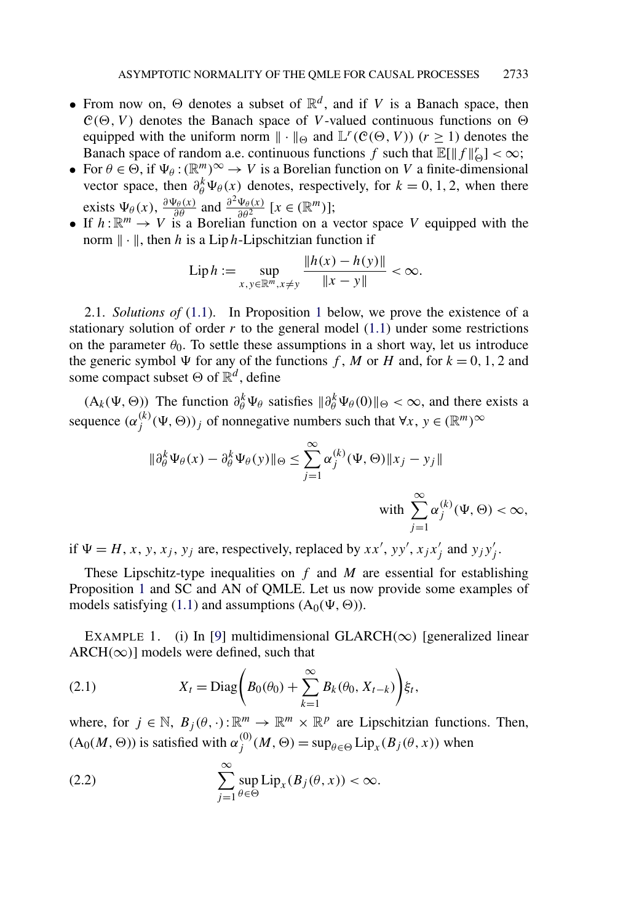- <span id="page-3-0"></span>• From now on,  $\Theta$  denotes a subset of  $\mathbb{R}^d$ , and if *V* is a Banach space, then  $C(\Theta, V)$  denotes the Banach space of *V*-valued continuous functions on  $\Theta$ equipped with the uniform norm  $\|\cdot\|_{\Theta}$  and  $\mathbb{L}^r(\mathcal{C}(\Theta, V))$  ( $r \ge 1$ ) denotes the Banach space of random a.e. continuous functions *f* such that  $\mathbb{E}[\|f\|_{\Theta}^r] < \infty$ ;
- For  $\theta \in \Theta$ , if  $\Psi_{\theta} : (\mathbb{R}^m)^{\infty} \to V$  is a Borelian function on *V* a finite-dimensional vector space, then  $\partial_{\theta}^{k} \Psi_{\theta}(x)$  denotes, respectively, for  $k = 0, 1, 2$ , when there exists  $\Psi_{\theta}(x)$ ,  $\frac{\partial \Psi_{\theta}(x)}{\partial \theta}$  and  $\frac{\partial^2 \Psi_{\theta}(x)}{\partial \theta^2}$  [ $x \in (\mathbb{R}^m)$ ];
- If  $h: \mathbb{R}^m \to V$  is a Borelian function on a vector space V equipped with the norm  $\|\cdot\|$ , then *h* is a Lip *h*-Lipschitzian function if

Lip 
$$
h := \sup_{x, y \in \mathbb{R}^m, x \neq y} \frac{\|h(x) - h(y)\|}{\|x - y\|} < \infty.
$$

2.1. *Solutions of* [\(1.1\)](#page-0-0). In Proposition [1](#page-5-0) below, we prove the existence of a stationary solution of order  $r$  to the general model  $(1.1)$  under some restrictions on the parameter  $\theta_0$ . To settle these assumptions in a short way, let us introduce the generic symbol  $\Psi$  for any of the functions *f*, *M* or *H* and, for  $k = 0, 1, 2$  and some compact subset  $\Theta$  of  $\mathbb{R}^d$ , define

 $(A_k(\Psi, \Theta))$  The function  $\partial_{\theta}^{k} \Psi_{\theta}$  satisfies  $\|\partial_{\theta}^{k} \Psi_{\theta}(0)\|_{\Theta} < \infty$ , and there exists a sequence  $(\alpha_j^{(k)}(\Psi, \Theta))_j$  of nonnegative numbers such that  $\forall x, y \in (\mathbb{R}^m)^{\infty}$ 

$$
\|\partial_{\theta}^{k} \Psi_{\theta}(x) - \partial_{\theta}^{k} \Psi_{\theta}(y)\|_{\Theta} \leq \sum_{j=1}^{\infty} \alpha_{j}^{(k)}(\Psi, \Theta) \|x_{j} - y_{j}\|
$$
  
with 
$$
\sum_{j=1}^{\infty} \alpha_{j}^{(k)}(\Psi, \Theta) < \infty,
$$

if  $\Psi = H, x, y, x_j, y_j$  are, respectively, replaced by  $xx', yy', x_jx_j'$  and  $y_jy_j'$ .

These Lipschitz-type inequalities on *f* and *M* are essential for establishing Proposition [1](#page-5-0) and SC and AN of QMLE. Let us now provide some examples of models satisfying [\(1.1\)](#page-0-0) and assumptions  $(A_0(\Psi, \Theta))$ .

EXAMPLE 1. (i) In [\[9\]](#page-28-0) multidimensional GLARCH( $\infty$ ) [generalized linear  $ARCH(\infty)$ ] models were defined, such that

(2.1) 
$$
X_t = \text{Diag}\bigg(B_0(\theta_0) + \sum_{k=1}^{\infty} B_k(\theta_0, X_{t-k})\bigg)\xi_t,
$$

where, for  $j \in \mathbb{N}$ ,  $B_j(\theta, \cdot): \mathbb{R}^m \to \mathbb{R}^m \times \mathbb{R}^p$  are Lipschitzian functions. Then,  $(A_0(M, \Theta))$  is satisfied with  $\alpha_j^{(0)}(M, \Theta) = \sup_{\theta \in \Theta} Lip_x(B_j(\theta, x))$  when

(2.2) 
$$
\sum_{j=1}^{\infty} \sup_{\theta \in \Theta} \text{Lip}_x(B_j(\theta, x)) < \infty.
$$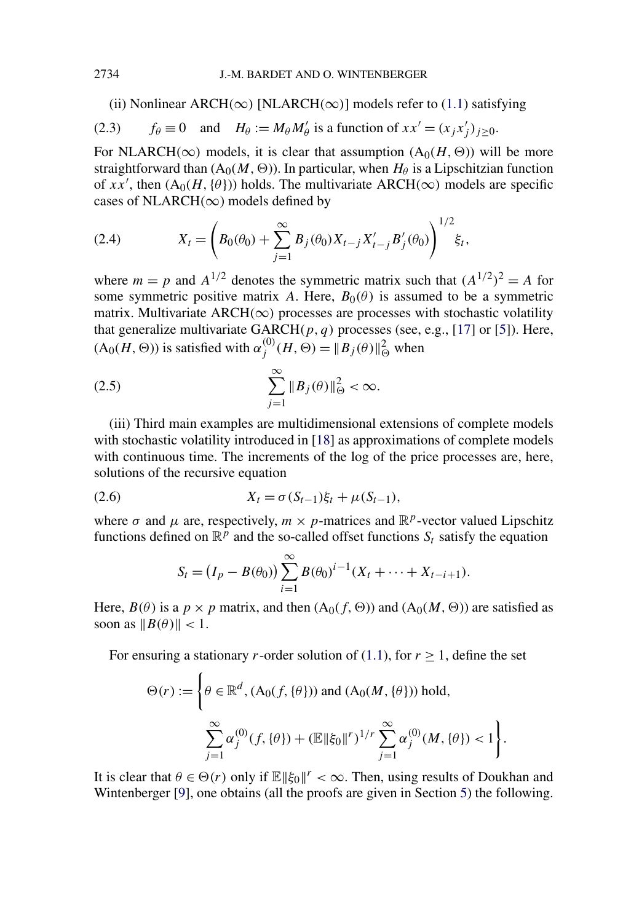(ii) Nonlinear ARCH( $\infty$ ) [NLARCH( $\infty$ )] models refer to [\(1.1\)](#page-0-0) satisfying

(2.3) 
$$
f_{\theta} \equiv 0
$$
 and  $H_{\theta} := M_{\theta} M'_{\theta}$  is a function of  $xx' = (x_j x'_j)_{j \ge 0}$ .

For NLARCH( $\infty$ ) models, it is clear that assumption  $(A_0(H, \Theta))$  will be more straightforward than  $(A_0(M, \Theta))$ . In particular, when  $H_\theta$  is a Lipschitzian function of *xx'*, then  $(A_0(H, {\theta}))$  holds. The multivariate ARCH( $\infty$ ) models are specific cases of NLARCH*(*∞) models defined by

(2.4) 
$$
X_t = \left(B_0(\theta_0) + \sum_{j=1}^{\infty} B_j(\theta_0) X_{t-j} X'_{t-j} B'_j(\theta_0)\right)^{1/2} \xi_t,
$$

where  $m = p$  and  $A^{1/2}$  denotes the symmetric matrix such that  $(A^{1/2})^2 = A$  for some symmetric positive matrix *A*. Here,  $B_0(\theta)$  is assumed to be a symmetric matrix. Multivariate ARCH $(\infty)$  processes are processes with stochastic volatility that generalize multivariate GARCH*(p,q)* processes (see, e.g., [\[17\]](#page-29-0) or [\[5\]](#page-28-0)). Here,  $(A_0(H, \Theta))$  is satisfied with  $\alpha_j^{(0)}(H, \Theta) = ||B_j(\theta)||_{\Theta}^2$  when

$$
(2.5) \qquad \qquad \sum_{j=1}^{\infty} \|B_j(\theta)\|_{\Theta}^2 < \infty.
$$

(iii) Third main examples are multidimensional extensions of complete models with stochastic volatility introduced in [\[18\]](#page-29-0) as approximations of complete models with continuous time. The increments of the log of the price processes are, here, solutions of the recursive equation

(2.6) 
$$
X_t = \sigma(S_{t-1})\xi_t + \mu(S_{t-1}),
$$

where  $\sigma$  and  $\mu$  are, respectively,  $m \times p$ -matrices and  $\mathbb{R}^p$ -vector valued Lipschitz functions defined on  $\mathbb{R}^p$  and the so-called offset functions  $S_t$  satisfy the equation

$$
S_t = (I_p - B(\theta_0)) \sum_{i=1}^{\infty} B(\theta_0)^{i-1} (X_t + \dots + X_{t-i+1}).
$$

Here,  $B(\theta)$  is a  $p \times p$  matrix, and then  $(A_0(f, \Theta))$  and  $(A_0(M, \Theta))$  are satisfied as soon as  $||B(\theta)|| < 1$ .

For ensuring a stationary *r*-order solution of [\(1.1\)](#page-0-0), for  $r > 1$ , define the set

$$
\Theta(r) := \left\{ \theta \in \mathbb{R}^d, (A_0(f, \{\theta\})) \text{ and } (A_0(M, \{\theta\})) \text{ hold,} \\ \sum_{j=1}^{\infty} \alpha_j^{(0)}(f, \{\theta\}) + (\mathbb{E} \|\xi_0\|^{r})^{1/r} \sum_{j=1}^{\infty} \alpha_j^{(0)}(M, \{\theta\}) < 1 \right\}.
$$

It is clear that  $\theta \in \Theta(r)$  only if  $\mathbb{E} \|\xi_0\|^r < \infty$ . Then, using results of Doukhan and Wintenberger [\[9\]](#page-28-0), one obtains (all the proofs are given in Section [5\)](#page-13-0) the following.

<span id="page-4-0"></span>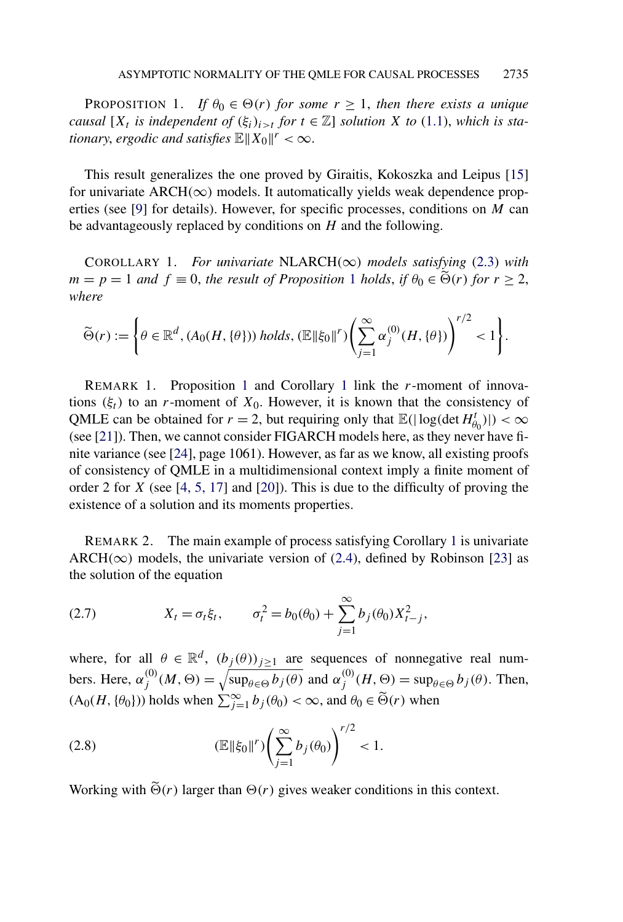<span id="page-5-0"></span>PROPOSITION 1. *If*  $\theta_0 \in \Theta(r)$  *for some*  $r \geq 1$ *, then there exists a unique causal*  $[X_t]$  *is independent of*  $(\xi_i)_{i>t}$  *for*  $t \in \mathbb{Z}$  *solution X to* [\(1.1\)](#page-0-0), *which is stationary, ergodic and satisfies*  $\mathbb{E} \|X_0\|^r < \infty$ .

This result generalizes the one proved by Giraitis, Kokoszka and Leipus [\[15\]](#page-28-0) for univariate  $ARCH(\infty)$  models. It automatically yields weak dependence properties (see [\[9\]](#page-28-0) for details). However, for specific processes, conditions on *M* can be advantageously replaced by conditions on *H* and the following.

COROLLARY 1. *For univariate* NLARCH*(*∞*) models satisfying* [\(2.3\)](#page-4-0) *with*  $m = p = 1$  *and*  $f \equiv 0$ , *the result of Proposition* 1 *holds*, *if*  $\theta_0 \in \tilde{\Theta}(r)$  *for*  $r \geq 2$ , *where*

$$
\widetilde{\Theta}(r):=\bigg\{\theta\in\mathbb{R}^d, (A_0(H,\{\theta\}))\ holds, (\mathbb{E}\|\xi_0\|^r)\bigg(\sum_{j=1}^\infty\alpha_j^{(0)}(H,\{\theta\})\bigg)^{r/2}<1\bigg\}.
$$

REMARK 1. Proposition 1 and Corollary 1 link the *r*-moment of innovations  $(\xi_t)$  to an *r*-moment of  $X_0$ . However, it is known that the consistency of QMLE can be obtained for  $r = 2$ , but requiring only that  $\mathbb{E}(|\log(\det H_{\theta_0}^t)|) < \infty$ (see [\[21\]](#page-29-0)). Then, we cannot consider FIGARCH models here, as they never have finite variance (see [\[24\]](#page-29-0), page 1061). However, as far as we know, all existing proofs of consistency of QMLE in a multidimensional context imply a finite moment of order 2 for *X* (see [\[4, 5, 17\]](#page-28-0) and [\[20\]](#page-29-0)). This is due to the difficulty of proving the existence of a solution and its moments properties.

REMARK 2. The main example of process satisfying Corollary 1 is univariate ARCH( $\infty$ ) models, the univariate version of [\(2.4\)](#page-4-0), defined by Robinson [\[23\]](#page-29-0) as the solution of the equation

(2.7) 
$$
X_t = \sigma_t \xi_t, \qquad \sigma_t^2 = b_0(\theta_0) + \sum_{j=1}^{\infty} b_j(\theta_0) X_{t-j}^2,
$$

where, for all  $\theta \in \mathbb{R}^d$ ,  $(b_j(\theta))_{j\geq 1}$  are sequences of nonnegative real numbers. Here,  $\alpha_j^{(0)}(M, \Theta) = \sqrt{\sup_{\theta \in \Theta} b_j(\theta)}$  and  $\alpha_j^{(0)}(H, \Theta) = \sup_{\theta \in \Theta} b_j(\theta)$ . Then,  $(A_0(H, \{\theta_0\}))$  holds when  $\sum_{j=1}^{\infty} b_j(\theta_0) < \infty$ , and  $\theta_0 \in \tilde{\Theta}(r)$  when

(2.8) 
$$
(\mathbb{E} \|\xi_0\|^{r}) \left(\sum_{j=1}^{\infty} b_j(\theta_0)\right)^{r/2} < 1.
$$

Working with  $\tilde{\Theta}(r)$  larger than  $\Theta(r)$  gives weaker conditions in this context.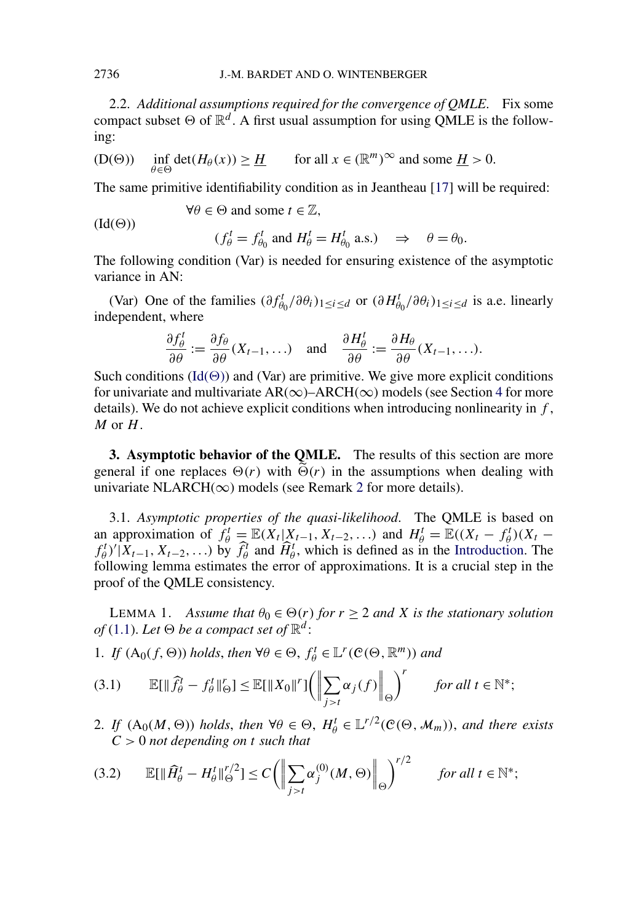<span id="page-6-0"></span>2.2. *Additional assumptions required for the convergence of QMLE*. Fix some compact subset  $\Theta$  of  $\mathbb{R}^d$ . A first usual assumption for using QMLE is the following:

(D(
$$
\Theta
$$
))  $\inf_{\theta \in \Theta} \det(H_{\theta}(x)) \ge \underline{H}$  for all  $x \in (\mathbb{R}^m)^{\infty}$  and some  $\underline{H} > 0$ .

The same primitive identifiability condition as in Jeantheau [\[17\]](#page-29-0) will be required:

(Id(Θ))  
\n
$$
\forall \theta \in \Theta \text{ and some } t \in \mathbb{Z},
$$
\n
$$
(f_{\theta}^t = f_{\theta_0}^t \text{ and } H_{\theta}^t = H_{\theta_0}^t \text{ a.s.}) \Rightarrow \theta = \theta_0.
$$

The following condition (Var) is needed for ensuring existence of the asymptotic variance in AN:

(Var) One of the families  $(\partial f_{\theta_0}^t / \partial \theta_i)_{1 \leq i \leq d}$  or  $(\partial H_{\theta_0}^t / \partial \theta_i)_{1 \leq i \leq d}$  is a.e. linearly independent, where

$$
\frac{\partial f_{\theta}^{t}}{\partial \theta} := \frac{\partial f_{\theta}}{\partial \theta}(X_{t-1}, \ldots) \quad \text{and} \quad \frac{\partial H_{\theta}^{t}}{\partial \theta} := \frac{\partial H_{\theta}}{\partial \theta}(X_{t-1}, \ldots).
$$

Such conditions  $(\text{Id}(\Theta))$  and (Var) are primitive. We give more explicit conditions for univariate and multivariate  $AR(\infty)$ – $ARCH(\infty)$  models (see Section [4](#page-7-0) for more details). We do not achieve explicit conditions when introducing nonlinearity in *f* , *M* or *H*.

**3. Asymptotic behavior of the QMLE.** The results of this section are more general if one replaces  $\Theta(r)$  with  $\widetilde{\Theta}(r)$  in the assumptions when dealing with univariate NLARCH( $\infty$ ) models (see Remark [2](#page-5-0) for more details).

3.1. *Asymptotic properties of the quasi-likelihood*. The QMLE is based on an approximation of  $f_{\theta}^t = \mathbb{E}(X_t | X_{t-1}, X_{t-2},...)$  and  $H_{\theta}^t = \mathbb{E}((X_t - f_{\theta}^t)(X_t$  $f_{\theta}^{t}$ )' $(X_{t-1}, X_{t-2},...)$  by  $\hat{f}_{\theta}^{t}$  and  $\hat{H}_{\theta}^{t}$ , which is defined as in the [Introduction.](#page-0-0) The following lemma estimates the error of approximations. It is a crucial step in the proof of the QMLE consistency.

LEMMA 1. *Assume that*  $\theta_0 \in \Theta(r)$  *for*  $r \geq 2$  *and X is the stationary solution of* [\(1.1\)](#page-0-0). Let  $\Theta$  be a compact set of  $\mathbb{R}^d$ :

1. *If*  $(A_0(f, \Theta))$  *holds, then*  $\forall \theta \in \Theta$ *,*  $f^t_\theta \in L^r(\mathcal{C}(\Theta, \mathbb{R}^m))$  *and* 

$$
(3.1) \qquad \mathbb{E}[\|\widehat{f}_{\theta}^{t} - f_{\theta}^{t}\|_{\Theta}^{r}] \le \mathbb{E}[\|X_{0}\|^{r}]\bigg(\bigg\|\sum_{j>t}\alpha_{j}(f)\bigg\|_{\Theta}\bigg)^{r} \qquad \text{for all } t \in \mathbb{N}^{*};
$$

2. *If*  $(A_0(M, \Theta))$  *holds*, *then*  $\forall \theta \in \Theta$ ,  $H^t_\theta \in L^{r/2}(\mathcal{C}(\Theta, \mathcal{M}_m))$ , *and there exists C >* 0 *not depending on t such that*

$$
(3.2) \qquad \mathbb{E}[\|\widehat{H}_{\theta}^{t} - H_{\theta}^{t}\|_{\Theta}^{r/2}] \le C \bigg(\bigg\|\sum_{j>t} \alpha_j^{(0)}(M,\Theta)\bigg\|_{\Theta}\bigg)^{r/2} \qquad \text{for all } t \in \mathbb{N}^*;
$$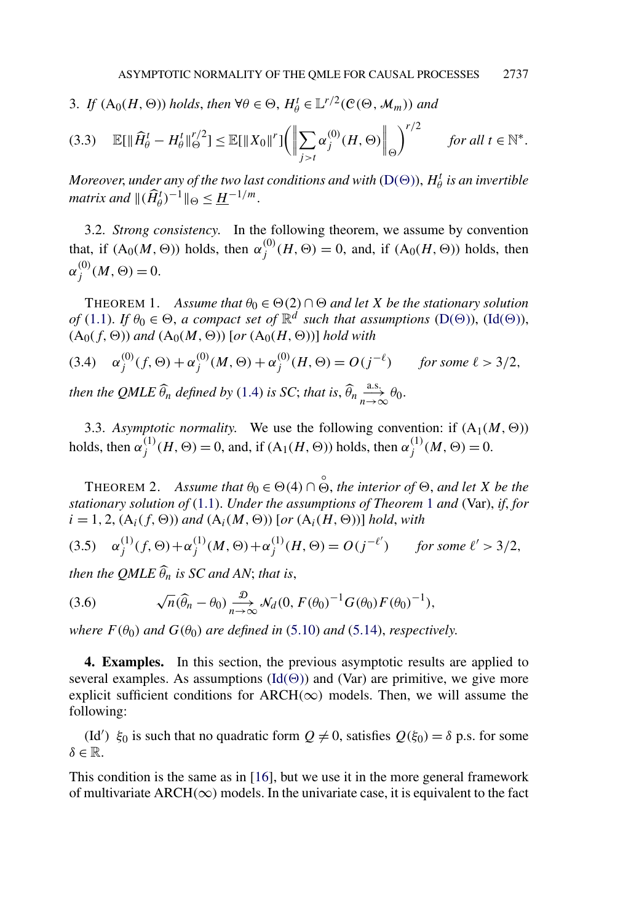<span id="page-7-0"></span>3. *If*  $(A_0(H, \Theta))$  *holds, then*  $\forall \theta \in \Theta$ ,  $H^t_\theta \in L^{r/2}(\mathcal{C}(\Theta, \mathcal{M}_m))$  and

$$
(3.3) \quad \mathbb{E}[\|\widehat{H}_{\theta}^{t} - H_{\theta}^{t}\|_{\Theta}^{r/2}] \le \mathbb{E}[\|X_0\|^{r}]\bigg(\bigg\|\sum_{j>t}\alpha_j^{(0)}(H,\Theta)\bigg\|_{\Theta}\bigg)^{r/2} \qquad \text{for all } t \in \mathbb{N}^*.
$$

*Moreover, under any of the two last conditions and with* [\(D\(](#page-6-0) $\Theta$ )),  $H^t_\theta$  *is an invertible matrix and*  $\|(\widehat{H}_{\theta}^{t})^{-1}\|_{\Theta} \leq \underline{H}^{-1/m}.$ 

3.2. *Strong consistency*. In the following theorem, we assume by convention that, if  $(A_0(M, \Theta))$  holds, then  $\alpha_j^{(0)}(H, \Theta) = 0$ , and, if  $(A_0(H, \Theta))$  holds, then  $\alpha_j^{(0)}(M,\Theta) = 0.$ 

THEOREM 1. *Assume that*  $\theta_0 \in \Theta(2) \cap \Theta$  *and let X be the stationary solution of* [\(1.1\)](#page-0-0). *If*  $\theta_0 \in \Theta$ , *a compact set of*  $\mathbb{R}^d$  *such that assumptions* [\(D\(](#page-6-0) $\Theta$ )), [\(Id\(](#page-6-0) $\Theta$ )),  $(A<sub>0</sub>(f, \Theta))$  *and*  $(A<sub>0</sub>(M, \Theta))$  [*or*  $(A<sub>0</sub>(H, \Theta))$ ] *hold with* 

(3.4) 
$$
\alpha_j^{(0)}(f, \Theta) + \alpha_j^{(0)}(M, \Theta) + \alpha_j^{(0)}(H, \Theta) = O(j^{-\ell})
$$
 for some  $\ell > 3/2$ ,  
then the *QMLE*  $\widehat{\theta}_n$  defined by (1.4) is SC; that is,  $\widehat{\theta}_n \xrightarrow[n \to \infty]{\text{a.s.}} \theta_0$ .

3.3. *Asymptotic normality*. We use the following convention: if  $(A_1(M, \Theta))$ holds, then  $\alpha_j^{(1)}(H, \Theta) = 0$ , and, if  $(A_1(H, \Theta))$  holds, then  $\alpha_j^{(1)}(M, \Theta) = 0$ .

THEOREM 2. *Assume that*  $\theta_0 \in \Theta(4) \cap \overset{\circ}{\Theta}$ , *the interior of*  $\Theta$ , *and let X be the stationary solution of* [\(1.1\)](#page-0-0). *Under the assumptions of Theorem* 1 *and* (Var), *if*, *for*  $i = 1, 2, (A_i(f, \Theta))$  and  $(A_i(M, \Theta))$  [or  $(A_i(H, \Theta))$ ] hold, with

(3.5) 
$$
\alpha_j^{(1)}(f, \Theta) + \alpha_j^{(1)}(M, \Theta) + \alpha_j^{(1)}(H, \Theta) = O(j^{-\ell'})
$$
 for some  $\ell' > 3/2$ ,

*then the QMLE*  $\widehat{\theta}_n$  *is SC and AN*; *that is*,

(3.6) 
$$
\sqrt{n}(\widehat{\theta}_n - \theta_0) \underset{n \to \infty}{\overset{\mathcal{D}}{\longrightarrow}} \mathcal{N}_d(0, F(\theta_0)^{-1} G(\theta_0) F(\theta_0)^{-1}),
$$

*where*  $F(\theta_0)$  *and*  $G(\theta_0)$  *are defined in* [\(5.10\)](#page-19-0) *and* [\(5.14\)](#page-24-0), *respectively.* 

**4. Examples.** In this section, the previous asymptotic results are applied to several examples. As assumptions  $(\text{Id}(\Theta))$  and (Var) are primitive, we give more explicit sufficient conditions for ARCH $(\infty)$  models. Then, we will assume the following:

(Id<sup>'</sup>)  $\xi_0$  is such that no quadratic form  $Q \neq 0$ , satisfies  $Q(\xi_0) = \delta$  p.s. for some *δ* ∈ R.

This condition is the same as in [\[16\]](#page-28-0), but we use it in the more general framework of multivariate ARCH $(\infty)$  models. In the univariate case, it is equivalent to the fact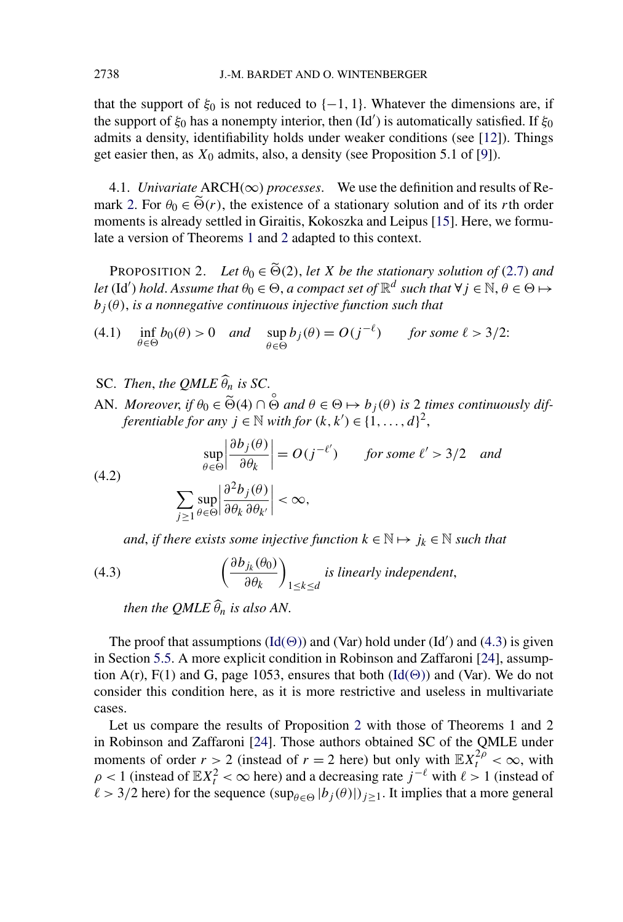<span id="page-8-0"></span>that the support of  $\xi_0$  is not reduced to  $\{-1, 1\}$ . Whatever the dimensions are, if the support of *ξ*<sup>0</sup> has a nonempty interior, then (Id ) is automatically satisfied. If *ξ*<sup>0</sup> admits a density, identifiability holds under weaker conditions (see [\[12\]](#page-28-0)). Things get easier then, as *X*<sup>0</sup> admits, also, a density (see Proposition 5.1 of [\[9\]](#page-28-0)).

4.1. *Univariate*  $ARCH(\infty)$  *processes*. We use the definition and results of Re-mark [2.](#page-5-0) For  $\theta_0 \in \widetilde{\Theta}(r)$ , the existence of a stationary solution and of its *r*th order moments is already settled in Giraitis, Kokoszka and Leipus [\[15\]](#page-28-0). Here, we formulate a version of Theorems [1](#page-7-0) and [2](#page-7-0) adapted to this context.

PROPOSITION 2. Let  $\theta_0 \in \widetilde{\Theta}(2)$ , let *X* be the stationary solution of [\(2.7\)](#page-5-0) and *let* (Id') *hold. Assume that*  $\theta_0 \in \Theta$ , *a compact set of*  $\mathbb{R}^d$  *such that*  $\forall j \in \mathbb{N}, \theta \in \Theta \mapsto$  $b_j(\theta)$ , *is a nonnegative continuous injective function such that* 

(4.1) 
$$
\inf_{\theta \in \Theta} b_0(\theta) > 0 \quad \text{and} \quad \sup_{\theta \in \Theta} b_j(\theta) = O(j^{-\ell}) \quad \text{for some } \ell > 3/2:
$$

- SC. *Then, the QMLE*  $\widehat{\theta}_n$  *is SC.*
- AN. *Moreover*, *if*  $\theta_0 \in \tilde{\Theta}(4) \cap \tilde{\Theta}$  and  $\theta \in \Theta \mapsto b_j(\theta)$  *is* 2 *times continuously differentiable for any*  $j \in \mathbb{N}$  *with for*  $(k, k') \in \{1, ..., d\}^2$ ,

(4.2) 
$$
\sup_{\theta \in \Theta} \left| \frac{\partial b_j(\theta)}{\partial \theta_k} \right| = O(j^{-\ell'}) \quad \text{for some } \ell' > 3/2 \text{ and}
$$

$$
\sum_{j \ge 1} \sup_{\theta \in \Theta} \left| \frac{\partial^2 b_j(\theta)}{\partial \theta_k \partial \theta_{k'}} \right| < \infty,
$$

*and, if there exists some injective function*  $k \in \mathbb{N} \mapsto j_k \in \mathbb{N}$  *such that* 

(4.3) 
$$
\left(\frac{\partial b_{j_k}(\theta_0)}{\partial \theta_k}\right)_{1 \leq k \leq d} \text{ is linearly independent,}
$$

*then the QMLE*  $\widehat{\theta}_n$  *is also AN*.

The proof that assumptions  $(\text{Id}(\Theta))$  and  $(\text{Var})$  hold under  $(\text{Id}')$  and  $(4.3)$  is given in Section [5.5.](#page-25-0) A more explicit condition in Robinson and Zaffaroni [\[24\]](#page-29-0), assumption A(r), F(1) and G, page 1053, ensures that both  $(\text{Id}(\Theta))$  and (Var). We do not consider this condition here, as it is more restrictive and useless in multivariate cases.

Let us compare the results of Proposition 2 with those of Theorems 1 and 2 in Robinson and Zaffaroni [\[24\]](#page-29-0). Those authors obtained SC of the QMLE under moments of order  $r > 2$  (instead of  $r = 2$  here) but only with  $\mathbb{E}X_t^{2\rho} < \infty$ , with  $\rho$  < 1 (instead of  $\mathbb{E}X_t^2 < \infty$  here) and a decreasing rate  $j^{-\ell}$  with  $\ell > 1$  (instead of  $\ell > 3/2$  here) for the sequence  $(\sup_{\theta \in \Theta} |b_j(\theta)|)_{j \geq 1}$ . It implies that a more general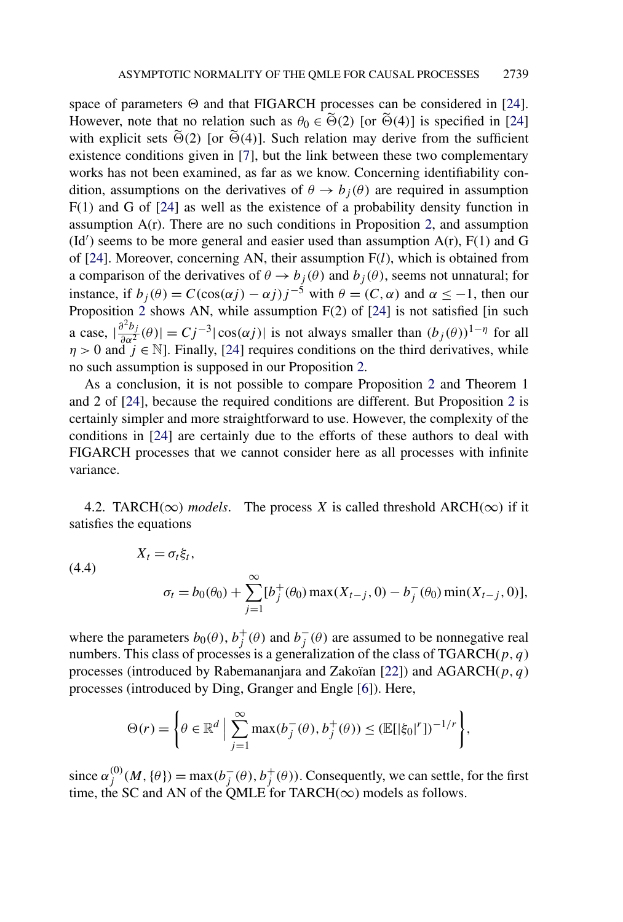<span id="page-9-0"></span>space of parameters  $\Theta$  and that FIGARCH processes can be considered in [\[24\]](#page-29-0). However, note that no relation such as  $\theta_0 \in \widetilde{\Theta}(2)$  [or  $\widetilde{\Theta}(4)$ ] is specified in [\[24\]](#page-29-0) with explicit sets  $\widetilde{\Theta}(2)$  [or  $\widetilde{\Theta}(4)$ ]. Such relation may derive from the sufficient existence conditions given in [\[7\]](#page-28-0), but the link between these two complementary works has not been examined, as far as we know. Concerning identifiability condition, assumptions on the derivatives of  $\theta \rightarrow b_i(\theta)$  are required in assumption F(1) and G of [\[24\]](#page-29-0) as well as the existence of a probability density function in assumption  $A(r)$ . There are no such conditions in Proposition [2,](#page-8-0) and assumption  $(\text{Id}')$  seems to be more general and easier used than assumption  $A(r)$ ,  $F(1)$  and  $G$ of [\[24\]](#page-29-0). Moreover, concerning AN, their assumption F(*l*), which is obtained from a comparison of the derivatives of  $\theta \rightarrow b_j(\theta)$  and  $b_j(\theta)$ , seems not unnatural; for instance, if  $b_j(\theta) = C(\cos(\alpha j) - \alpha j)j^{-5}$  with  $\theta = (C, \alpha)$  and  $\alpha \le -1$ , then our Proposition [2](#page-8-0) shows AN, while assumption F(2) of [\[24\]](#page-29-0) is not satisfied [in such a case,  $\left|\frac{\partial^2 b_j}{\partial \alpha^2}(\theta)\right| = Cj^{-3} |\cos(\alpha j)|$  is not always smaller than  $(b_j(\theta))^{1-\eta}$  for all  $\eta > 0$  and  $j \in \mathbb{N}$ ]. Finally, [\[24\]](#page-29-0) requires conditions on the third derivatives, while no such assumption is supposed in our Proposition [2.](#page-8-0)

As a conclusion, it is not possible to compare Proposition [2](#page-8-0) and Theorem 1 and 2 of [\[24\]](#page-29-0), because the required conditions are different. But Proposition [2](#page-8-0) is certainly simpler and more straightforward to use. However, the complexity of the conditions in [\[24\]](#page-29-0) are certainly due to the efforts of these authors to deal with FIGARCH processes that we cannot consider here as all processes with infinite variance.

4.2. TARCH( $\infty$ ) *models*. The process *X* is called threshold ARCH( $\infty$ ) if it satisfies the equations

(4.4)  
\n
$$
X_t = \sigma_t \xi_t,
$$
\n
$$
\sigma_t = b_0(\theta_0) + \sum_{j=1}^{\infty} [b_j^+(\theta_0) \max(X_{t-j}, 0) - b_j^-(\theta_0) \min(X_{t-j}, 0)],
$$

where the parameters  $b_0(\theta)$ ,  $b_j^+(\theta)$  and  $b_j^-(\theta)$  are assumed to be nonnegative real numbers. This class of processes is a generalization of the class of TGARCH(*p,q*) processes (introduced by Rabemananjara and Zakoïan [\[22\]](#page-29-0)) and AGARCH(*p,q*) processes (introduced by Ding, Granger and Engle [\[6\]](#page-28-0)). Here,

$$
\Theta(r) = \left\{ \theta \in \mathbb{R}^d \; \Big| \; \sum_{j=1}^{\infty} \max(b_j^-(\theta), b_j^+(\theta)) \leq (\mathbb{E}[|\xi_0|^r])^{-1/r} \right\},\
$$

since  $\alpha_j^{(0)}(M, {\theta}) = \max(b_j^-(\theta), b_j^+(\theta))$ . Consequently, we can settle, for the first time, the SC and AN of the QMLE for TARCH( $\infty$ ) models as follows.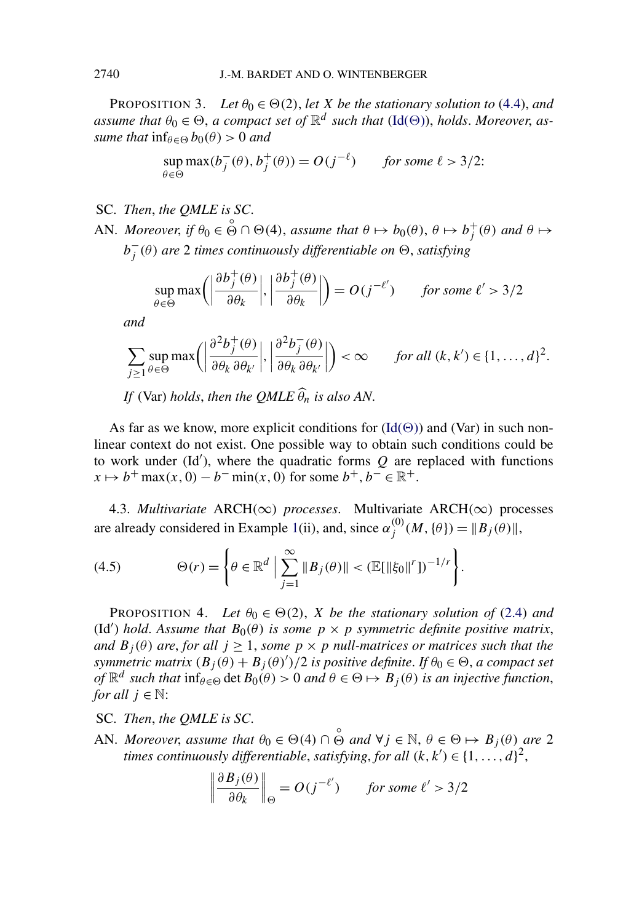<span id="page-10-0"></span>PROPOSITION 3. Let  $\theta_0 \in \Theta(2)$ , let *X* be the stationary solution to [\(4.4\)](#page-9-0), and *assume that*  $\theta_0 \in \Theta$ , *a compact set of*  $\mathbb{R}^d$  *such that* [\(Id\(](#page-6-0) $\Theta$ )), *holds. Moreover, assume that*  $\inf_{\theta \in \Theta} b_0(\theta) > 0$  *and* 

$$
\sup_{\theta \in \Theta} \max(b_j^-(\theta), b_j^+(\theta)) = O(j^{-\ell}) \quad \text{for some } \ell > 3/2.
$$

- SC. *Then*, *the QMLE is SC*.
- AN. *Moreover*, *if*  $\theta_0 \in \overset{\circ}{\Theta} \cap \Theta(4)$ , *assume that*  $\theta \mapsto b_0(\theta)$ ,  $\theta \mapsto b_j^+(\theta)$  *and*  $\theta \mapsto$ *b*− *<sup>j</sup> (θ) are* 2 *times continuously differentiable on* , *satisfying*

$$
\sup_{\theta \in \Theta} \max \left( \left| \frac{\partial b_j^+(\theta)}{\partial \theta_k} \right|, \left| \frac{\partial b_j^+(\theta)}{\partial \theta_k} \right| \right) = O(j^{-\ell'}) \quad \text{for some } \ell' > 3/2
$$

*and*

$$
\sum_{j\geq 1} \sup_{\theta\in\Theta} \max\left(\left|\frac{\partial^2 b_j^+(\theta)}{\partial \theta_k \partial \theta_{k'}}\right|, \left|\frac{\partial^2 b_j^-(\theta)}{\partial \theta_k \partial \theta_{k'}}\right|\right) < \infty \quad \text{for all } (k, k') \in \{1, \dots, d\}^2.
$$
  
If (Var) holds, then the QMLE  $\widehat{\theta}_n$  is also AN.

As far as we know, more explicit conditions for  $(\text{Id}(\Theta))$  and (Var) in such nonlinear context do not exist. One possible way to obtain such conditions could be to work under (Id ), where the quadratic forms *Q* are replaced with functions  $x \mapsto b^+ \max(x, 0) - b^- \min(x, 0)$  for some  $b^+, b^- \in \mathbb{R}^+$ .

4.3. *Multivariate* ARCH*(*∞*) processes*. Multivariate ARCH*(*∞*)* processes are already considered in Example [1\(](#page-3-0)ii), and, since  $\alpha_j^{(0)}(M, {\theta}) = ||B_j(\theta)||$ ,

(4.5) 
$$
\Theta(r) = \left\{ \theta \in \mathbb{R}^d \; \Big| \; \sum_{j=1}^{\infty} \| B_j(\theta) \| < (\mathbb{E}[\|\xi_0\|^r])^{-1/r} \right\}.
$$

PROPOSITION 4. Let  $\theta_0 \in \Theta(2)$ , *X* be the stationary solution of [\(2.4\)](#page-4-0) and (Id') *hold*. Assume that  $B_0(\theta)$  is some  $p \times p$  symmetric definite positive matrix, *and*  $B_j(\theta)$  *are, for all*  $j \geq 1$ *, some*  $p \times p$  *null-matrices or matrices such that the symmetric matrix*  $(B_j(\theta) + B_j(\theta)')/2$  *is positive definite. If*  $\theta_0 \in \Theta$ , *a compact set of*  $\mathbb{R}^d$  *such that*  $\inf_{\theta \in \Theta} \det B_0(\theta) > 0$  *and*  $\theta \in \Theta \mapsto B_j(\theta)$  *is an injective function*, *for all*  $j \in \mathbb{N}$ :

- SC. *Then*, *the QMLE is SC*.
- AN. *Moreover*, *assume that*  $\theta_0 \in \Theta(4) \cap \overset{\circ}{\Theta}$  *and*  $\forall j \in \mathbb{N}, \theta \in \Theta \mapsto B_j(\theta)$  *are* 2 *times continuously differentiable, satisfying, for all*  $(k, k') \in \{1, ..., d\}^2$ ,

$$
\left\|\frac{\partial B_j(\theta)}{\partial \theta_k}\right\|_{\Theta} = O(j^{-\ell'}) \quad \text{for some } \ell' > 3/2
$$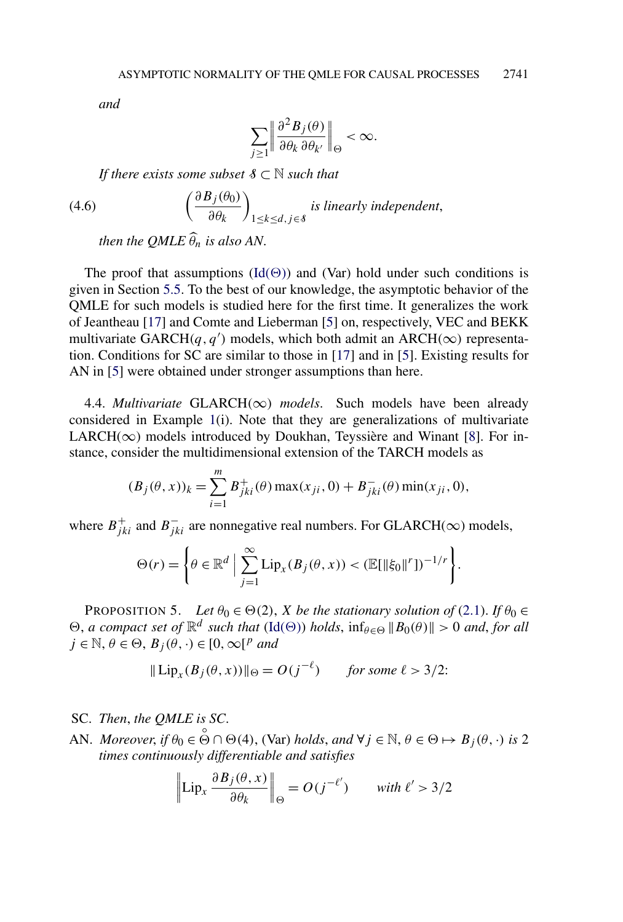*and*

$$
\sum_{j\geq 1}\left\|\frac{\partial^2 B_j(\theta)}{\partial \theta_k \,\partial \theta_{k'}}\right\|_{\Theta}<\infty.
$$

*If there exists some subset*  $S \subset \mathbb{N}$  *such that* 

(4.6) 
$$
\left(\frac{\partial B_j(\theta_0)}{\partial \theta_k}\right)_{1 \leq k \leq d, j \in \delta} \text{ is linearly independent,}
$$

*then the QMLE*  $\widehat{\theta}_n$  *is also AN*.

The proof that assumptions  $(\text{Id}(\Theta))$  and (Var) hold under such conditions is given in Section [5.5.](#page-25-0) To the best of our knowledge, the asymptotic behavior of the QMLE for such models is studied here for the first time. It generalizes the work of Jeantheau [\[17\]](#page-29-0) and Comte and Lieberman [\[5\]](#page-28-0) on, respectively, VEC and BEKK multivariate GARCH $(q, q')$  models, which both admit an ARCH $(\infty)$  representation. Conditions for SC are similar to those in [\[17\]](#page-29-0) and in [\[5\]](#page-28-0). Existing results for AN in [\[5\]](#page-28-0) were obtained under stronger assumptions than here.

4.4. *Multivariate* GLARCH $(\infty)$  *models*. Such models have been already considered in Example [1\(](#page-3-0)i). Note that they are generalizations of multivariate LARCH( $\infty$ ) models introduced by Doukhan, Teyssière and Winant [\[8\]](#page-28-0). For instance, consider the multidimensional extension of the TARCH models as

$$
(B_j(\theta, x))_k = \sum_{i=1}^m B_{jki}^+(\theta) \max(x_{ji}, 0) + B_{jki}^-(\theta) \min(x_{ji}, 0),
$$

where  $B_{jki}^+$  and  $B_{jki}^-$  are nonnegative real numbers. For GLARCH( $\infty$ ) models,

$$
\Theta(r) = \left\{ \theta \in \mathbb{R}^d \; \Big| \; \sum_{j=1}^{\infty} \mathrm{Lip}_x(B_j(\theta, x)) < (\mathbb{E}[\|\xi_0\|^r])^{-1/r} \right\}.
$$

PROPOSITION 5. *Let*  $\theta_0 \in \Theta(2)$ , *X be the stationary solution of* [\(2.1\)](#page-3-0). *If*  $\theta_0 \in$  $\Theta$ , *a compact set of*  $\mathbb{R}^d$  *such that* [\(Id\(](#page-6-0) $\Theta$ )) *holds*,  $\inf_{\theta \in \Theta} ||B_0(\theta)|| > 0$  *and*, *for all*  $j \in \mathbb{N}, \theta \in \Theta, B_j(\theta, \cdot) \in [0, \infty]^p$  and

$$
\|\operatorname{Lip}_x(B_j(\theta, x))\|_{\Theta} = O(j^{-\ell}) \quad \text{for some } \ell > 3/2.
$$

SC. *Then*, *the QMLE is SC*.

AN. *Moreover*, *if*  $\theta_0 \in \bigodot^{\circ} \cap \Theta(4)$ , (Var) *holds*, and  $\forall j \in \mathbb{N}, \theta \in \Theta \mapsto B_j(\theta, \cdot)$  *is* 2 *times continuously differentiable and satisfies*

$$
\left\|\text{Lip}_x\,\frac{\partial B_j(\theta,x)}{\partial\theta_k}\right\|_{\Theta} = O\left(j^{-\ell'}\right) \qquad \text{with } \ell' > 3/2
$$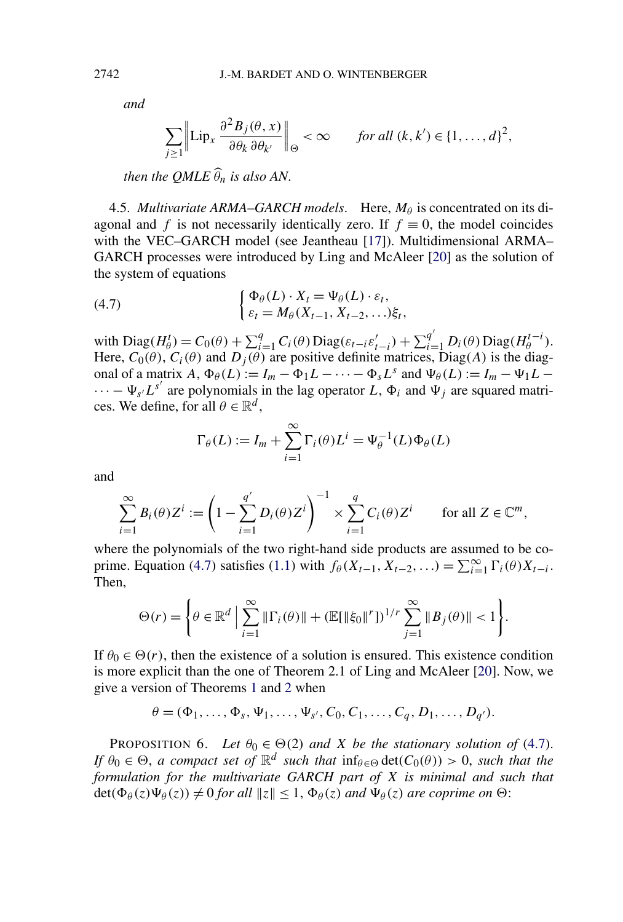*and*

$$
\sum_{j\geq 1}\left\|\text{Lip}_x\,\frac{\partial^2 B_j(\theta,x)}{\partial \theta_k\,\partial \theta_{k'}}\right\|_{\Theta}<\infty \qquad \text{for all } (k,k')\in\{1,\ldots,d\}^2,
$$

*then the QMLE*  $\widehat{\theta}_n$  *is also AN*.

4.5. *Multivariate ARMA–GARCH models*. Here,  $M_\theta$  is concentrated on its diagonal and *f* is not necessarily identically zero. If  $f \equiv 0$ , the model coincides with the VEC–GARCH model (see Jeantheau [\[17\]](#page-29-0)). Multidimensional ARMA– GARCH processes were introduced by Ling and McAleer [\[20\]](#page-29-0) as the solution of the system of equations

(4.7) 
$$
\begin{cases} \Phi_{\theta}(L) \cdot X_t = \Psi_{\theta}(L) \cdot \varepsilon_t, \\ \varepsilon_t = M_{\theta}(X_{t-1}, X_{t-2}, \ldots) \xi_t, \end{cases}
$$

with  $Diag(H^t_{\theta}) = C_0(\theta) + \sum_{i=1}^q C_i(\theta) Diag(\varepsilon_{t-i}\varepsilon'_{t-i}) + \sum_{i=1}^{q'} D_i(\theta) Diag(H^{t-i}_{\theta}).$ Here,  $C_0(\theta)$ ,  $C_i(\theta)$  and  $D_j(\theta)$  are positive definite matrices, Diag(A) is the diagonal of a matrix *A*,  $\Phi_{\theta}(L) := I_m - \Phi_1 L - \cdots - \Phi_s L^s$  and  $\Psi_{\theta}(L) := I_m - \Psi_1 L \cdots - \Psi_{s'} L^{s'}$  are polynomials in the lag operator L,  $\Phi_i$  and  $\Psi_j$  are squared matrices. We define, for all  $\theta \in \mathbb{R}^d$ ,

$$
\Gamma_{\theta}(L) := I_m + \sum_{i=1}^{\infty} \Gamma_i(\theta) L^i = \Psi_{\theta}^{-1}(L) \Phi_{\theta}(L)
$$

and

$$
\sum_{i=1}^{\infty} B_i(\theta) Z^i := \left(1 - \sum_{i=1}^{q'} D_i(\theta) Z^i\right)^{-1} \times \sum_{i=1}^{q} C_i(\theta) Z^i \quad \text{for all } Z \in \mathbb{C}^m,
$$

where the polynomials of the two right-hand side products are assumed to be co-prime. Equation (4.7) satisfies [\(1.1\)](#page-0-0) with  $f_{\theta}(X_{t-1}, X_{t-2},...) = \sum_{i=1}^{\infty} \Gamma_i(\theta) X_{t-i}$ . Then,

$$
\Theta(r) = \left\{ \theta \in \mathbb{R}^d \, \Big| \, \sum_{i=1}^{\infty} \|\Gamma_i(\theta)\| + (\mathbb{E}[\|\xi_0\|^r])^{1/r} \sum_{j=1}^{\infty} \|B_j(\theta)\| < 1 \right\}.
$$

If  $\theta_0 \in \Theta(r)$ , then the existence of a solution is ensured. This existence condition is more explicit than the one of Theorem 2.1 of Ling and McAleer [\[20\]](#page-29-0). Now, we give a version of Theorems [1](#page-7-0) and [2](#page-7-0) when

$$
\theta = (\Phi_1, \ldots, \Phi_s, \Psi_1, \ldots, \Psi_{s'}, C_0, C_1, \ldots, C_q, D_1, \ldots, D_{q'}).
$$

PROPOSITION 6. Let  $\theta_0 \in \Theta(2)$  and X be the stationary solution of (4.7). *If*  $\theta_0 \in \Theta$ , *a compact set of*  $\mathbb{R}^d$  *such that*  $\inf_{\theta \in \Theta} \det(C_0(\theta)) > 0$ , *such that the formulation for the multivariate GARCH part of X is minimal and such that*  $\det(\Phi_{\theta}(z)\Psi_{\theta}(z)) \neq 0$  *for all*  $||z|| \leq 1$ ,  $\Phi_{\theta}(z)$  *and*  $\Psi_{\theta}(z)$  *are coprime on*  $\Theta$ :

<span id="page-12-0"></span>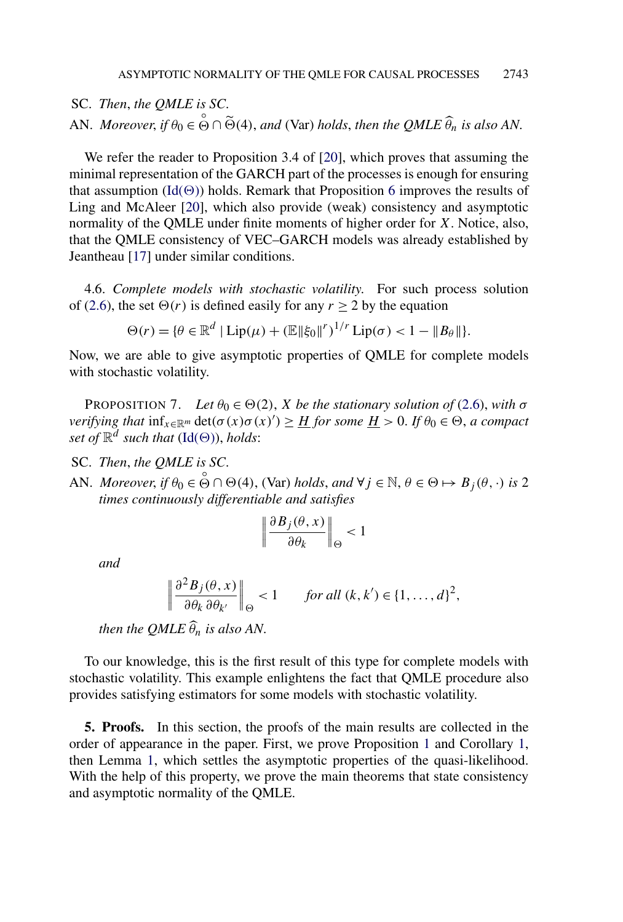<span id="page-13-0"></span>SC. *Then*, *the QMLE is SC*. AN. *Moreover*, *if*  $\theta_0 \in \overset{\circ}{\Theta} \cap \widetilde{\Theta}(4)$ , and (Var) *holds*, *then the QMLE*  $\widehat{\theta}_n$  *is also AN*.

We refer the reader to Proposition 3.4 of [\[20\]](#page-29-0), which proves that assuming the minimal representation of the GARCH part of the processes is enough for ensuring that assumption  $(\text{Id}(\Theta))$  holds. Remark that Proposition [6](#page-12-0) improves the results of Ling and McAleer [\[20\]](#page-29-0), which also provide (weak) consistency and asymptotic normality of the QMLE under finite moments of higher order for *X*. Notice, also, that the QMLE consistency of VEC–GARCH models was already established by Jeantheau [\[17\]](#page-29-0) under similar conditions.

4.6. *Complete models with stochastic volatility*. For such process solution of [\(2.6\)](#page-4-0), the set  $\Theta(r)$  is defined easily for any  $r \ge 2$  by the equation

$$
\Theta(r) = \{ \theta \in \mathbb{R}^d \mid \text{Lip}(\mu) + (\mathbb{E} ||\xi_0||^r)^{1/r} \text{Lip}(\sigma) < 1 - ||B_\theta|| \}.
$$

Now, we are able to give asymptotic properties of QMLE for complete models with stochastic volatility.

PROPOSITION 7. *Let*  $\theta_0 \in \Theta(2)$ , *X be the stationary solution of* [\(2.6\)](#page-4-0), *with*  $\sigma$ *verifying that*  $\inf_{x \in \mathbb{R}^m} \det(\sigma(x)\sigma(x)') \geq \frac{H}{H}$  *for some*  $\frac{H}{H} > 0$ . *If*  $\theta_0 \in \Theta$ , *a compact set of*  $\mathbb{R}^d$  *such that* [\(Id\(](#page-6-0) $\Theta$ )), *holds*:

SC. *Then*, *the QMLE is SC*.

AN. *Moreover*, *if*  $\theta_0 \in \bigodot^{\circ} \cap \Theta(4)$ , (Var) *holds*, and  $\forall j \in \mathbb{N}, \theta \in \Theta \mapsto B_j(\theta, \cdot)$  *is* 2 *times continuously differentiable and satisfies*

$$
\left\|\frac{\partial B_j(\theta,x)}{\partial \theta_k}\right\|_\Theta<1
$$

*and*

$$
\left\|\frac{\partial^2 B_j(\theta, x)}{\partial \theta_k \partial \theta_{k'}}\right\|_{\Theta} < 1 \quad \text{for all } (k, k') \in \{1, \dots, d\}^2,
$$

*then the QMLE*  $\widehat{\theta}_n$  *is also AN*.

To our knowledge, this is the first result of this type for complete models with stochastic volatility. This example enlightens the fact that QMLE procedure also provides satisfying estimators for some models with stochastic volatility.

**5. Proofs.** In this section, the proofs of the main results are collected in the order of appearance in the paper. First, we prove Proposition [1](#page-5-0) and Corollary [1,](#page-5-0) then Lemma [1,](#page-6-0) which settles the asymptotic properties of the quasi-likelihood. With the help of this property, we prove the main theorems that state consistency and asymptotic normality of the QMLE.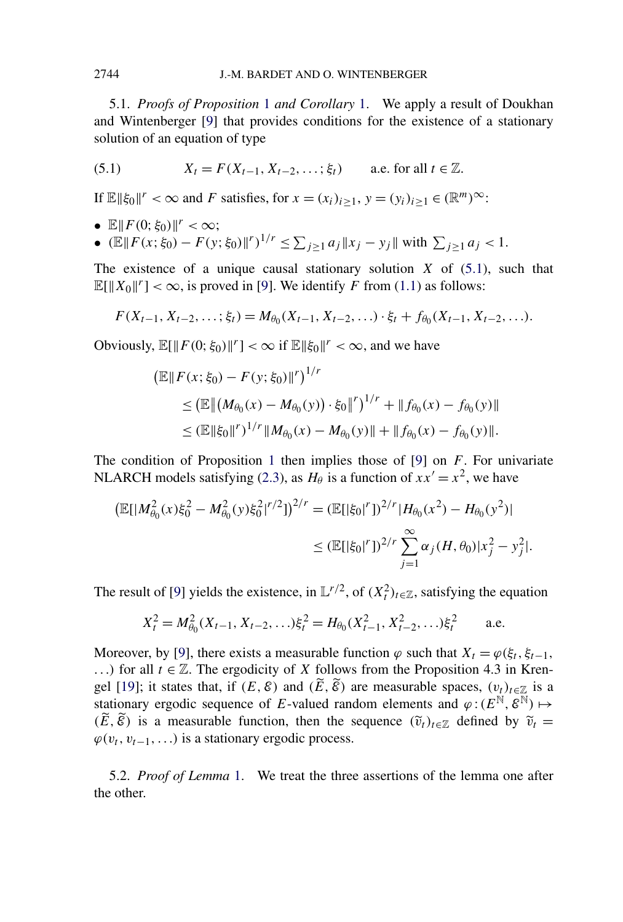5.1. *Proofs of Proposition* [1](#page-5-0) *and Corollary* [1.](#page-5-0) We apply a result of Doukhan and Wintenberger [\[9\]](#page-28-0) that provides conditions for the existence of a stationary solution of an equation of type

(5.1) 
$$
X_t = F(X_{t-1}, X_{t-2}, \dots; \xi_t)
$$
 a.e. for all  $t \in \mathbb{Z}$ .

If  $\mathbb{E} \|\xi_0\|^r < \infty$  and *F* satisfies, for  $x = (x_i)_{i \ge 1}, y = (y_i)_{i \ge 1} \in (\mathbb{R}^m)^{\infty}$ :

- $\mathbb{E} || F(0; \xi_0) ||^r < \infty;$
- $(\mathbb{E} || F(x; \xi_0) F(y; \xi_0) ||^r)^{1/r} \le \sum_{j \ge 1} a_j ||x_j y_j||$  with  $\sum_{j \ge 1} a_j < 1$ .

The existence of a unique causal stationary solution  $X$  of  $(5.1)$ , such that  $\mathbb{E}[\|X_0\|^r] < \infty$ , is proved in [\[9\]](#page-28-0). We identify *F* from [\(1.1\)](#page-0-0) as follows:

$$
F(X_{t-1}, X_{t-2}, \ldots; \xi_t) = M_{\theta_0}(X_{t-1}, X_{t-2}, \ldots) \cdot \xi_t + f_{\theta_0}(X_{t-1}, X_{t-2}, \ldots).
$$

Obviously,  $\mathbb{E}[\|F(0;\xi_0)\|^r] < \infty$  if  $\mathbb{E}\|\xi_0\|^r < \infty$ , and we have

$$
\begin{aligned} \left(\mathbb{E} \| F(x; \xi_0) - F(y; \xi_0) \|^r \right)^{1/r} \\ &\le \left(\mathbb{E} \left\| \left(M_{\theta_0}(x) - M_{\theta_0}(y)\right) \cdot \xi_0 \right\|^r \right)^{1/r} + \| f_{\theta_0}(x) - f_{\theta_0}(y) \| \\ &\le \left(\mathbb{E} \| \xi_0 \|^r \right)^{1/r} \| M_{\theta_0}(x) - M_{\theta_0}(y) \| + \| f_{\theta_0}(x) - f_{\theta_0}(y) \| . \end{aligned}
$$

The condition of Proposition [1](#page-5-0) then implies those of [\[9\]](#page-28-0) on *F*. For univariate NLARCH models satisfying [\(2.3\)](#page-4-0), as  $H_\theta$  is a function of  $xx' = x^2$ , we have

$$
\begin{aligned} \left( \mathbb{E}[|M_{\theta_0}^2(x)\xi_0^2 - M_{\theta_0}^2(y)\xi_0^2|^{r/2}] \right)^{2/r} &= \left( \mathbb{E}[|\xi_0|^r] \right)^{2/r} |H_{\theta_0}(x^2) - H_{\theta_0}(y^2)| \\ &\le \left( \mathbb{E}[|\xi_0|^r] \right)^{2/r} \sum_{j=1}^\infty \alpha_j (H, \theta_0) |x_j^2 - y_j^2|. \end{aligned}
$$

The result of [\[9\]](#page-28-0) yields the existence, in  $\mathbb{L}^{r/2}$ , of  $(X_t^2)_{t \in \mathbb{Z}}$ , satisfying the equation

$$
X_t^2 = M_{\theta_0}^2(X_{t-1}, X_{t-2}, \ldots) \xi_t^2 = H_{\theta_0}(X_{t-1}^2, X_{t-2}^2, \ldots) \xi_t^2 \quad \text{a.e.}
$$

Moreover, by [\[9\]](#page-28-0), there exists a measurable function  $\varphi$  such that  $X_t = \varphi(\xi_t, \xi_{t-1},$ *...*) for all *t* ∈  $\mathbb{Z}$ . The ergodicity of *X* follows from the Proposition 4.3 in Kren-gel [\[19\]](#page-29-0); it states that, if  $(E, \mathcal{E})$  and  $(E, \mathcal{E})$  are measurable spaces,  $(v_t)_{t \in \mathbb{Z} \atop \mathbb{Z}}$  is a stationary ergodic sequence of *E*-valued random elements and  $\varphi$  :  $(E^{\mathbb{N}}, \mathcal{E}^{\mathbb{N}}) \mapsto$  $(E, \hat{\varepsilon})$  is a measurable function, then the sequence  $(\tilde{v}_t)_{t \in \mathbb{Z}}$  defined by  $\tilde{v}_t =$  $\varphi(v_t, v_{t-1}, \ldots)$  is a stationary ergodic process.

5.2. *Proof of Lemma* [1.](#page-6-0) We treat the three assertions of the lemma one after the other.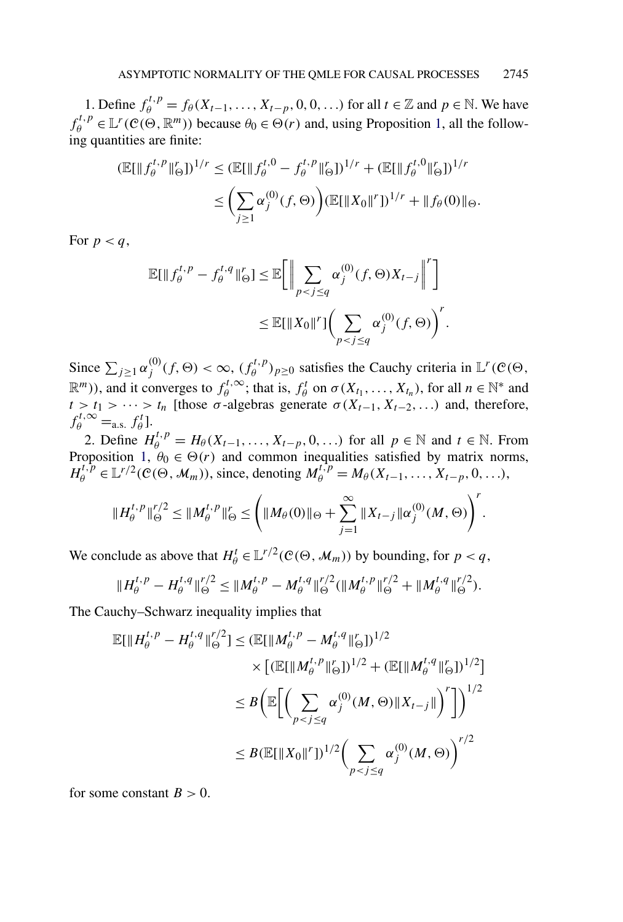1. Define  $f_{\theta}^{t,p} = f_{\theta}(X_{t-1},...,X_{t-p},0,0,...)$  for all  $t \in \mathbb{Z}$  and  $p \in \mathbb{N}$ . We have  $f_{\theta}^{t,p} \in \mathbb{L}^r(\mathcal{C}(\Theta,\mathbb{R}^m))$  because  $\theta_0 \in \Theta(r)$  and, using Proposition [1,](#page-5-0) all the following quantities are finite:

$$
\begin{aligned} \left(\mathbb{E}[\|f_{\theta}^{t,p}\|_{\Theta}^r]\right)^{1/r} &\leq \left(\mathbb{E}[\|f_{\theta}^{t,0} - f_{\theta}^{t,p}\|_{\Theta}^r]\right)^{1/r} + \left(\mathbb{E}[\|f_{\theta}^{t,0}\|_{\Theta}^r]\right)^{1/r} \\ &\leq \left(\sum_{j\geq 1} \alpha_j^{(0)}(f,\Theta)\right) \left(\mathbb{E}[\|X_0\|^r]\right)^{1/r} + \|f_{\theta}(0)\|_{\Theta}. \end{aligned}
$$

For  $p < q$ ,

$$
\mathbb{E}[\|f_{\theta}^{t,p} - f_{\theta}^{t,q}\|_{\Theta}^r] \leq \mathbb{E}\bigg[\bigg\|\sum_{p < j \leq q} \alpha_j^{(0)}(f, \Theta)X_{t-j}\bigg\|^r\bigg]
$$
\n
$$
\leq \mathbb{E}[\|X_0\|^r]\bigg(\sum_{p < j \leq q} \alpha_j^{(0)}(f, \Theta)\bigg)^r.
$$

Since  $\sum_{j\geq 1} \alpha_j^{(0)}(f, \Theta) < \infty$ ,  $(f_\theta^{t,p})_{p\geq 0}$  satisfies the Cauchy criteria in  $\mathbb{L}^r(\mathcal{C}(\Theta),$  $\mathbb{R}^m$ )), and it converges to  $f_\theta^{t,\infty}$ ; that is,  $f_\theta^t$  on  $\sigma(X_{t_1},...,X_{t_n})$ , for all  $n \in \mathbb{N}^*$  and  $t > t_1 > \cdots > t_n$  [those  $\sigma$ -algebras generate  $\sigma(X_{t-1}, X_{t-2}, \ldots)$  and, therefore,  $f_{\theta}^{t,\infty} =$ a.s.  $f_{\theta}^{t}$ ].

2. Define  $H_{\theta}^{t,p} = H_{\theta}(X_{t-1},...,X_{t-p},0,...)$  for all  $p \in \mathbb{N}$  and  $t \in \mathbb{N}$ . From Proposition [1,](#page-5-0)  $\theta_0 \in \Theta(r)$  and common inequalities satisfied by matrix norms,  $H_0^{t,p} \in L^{r/2}(\mathcal{C}(\Theta, \mathcal{M}_m))$ , since, denoting  $M_0^{t,p} = M_\theta(X_{t-1}, \ldots, X_{t-p}, 0, \ldots)$ ,

$$
||H_{\theta}^{t,p}||_{\Theta}^{r/2} \leq ||M_{\theta}^{t,p}||_{\Theta}^{r} \leq \left(||M_{\theta}(0)||_{\Theta} + \sum_{j=1}^{\infty} ||X_{t-j}|| \alpha_j^{(0)}(M,\Theta)\right)^{r}.
$$

We conclude as above that  $H^t_\theta \in L^{r/2}(\mathcal{C}(\Theta, \mathcal{M}_m))$  by bounding, for  $p < q$ ,

$$
\|H_{\theta}^{t,p} - H_{\theta}^{t,q}\|_{\Theta}^{r/2} \leq \|M_{\theta}^{t,p} - M_{\theta}^{t,q}\|_{\Theta}^{r/2} (\|M_{\theta}^{t,p}\|_{\Theta}^{r/2} + \|M_{\theta}^{t,q}\|_{\Theta}^{r/2}).
$$

The Cauchy–Schwarz inequality implies that

$$
\mathbb{E}[\|H_{\theta}^{t,p} - H_{\theta}^{t,q}\|_{\Theta}^{r/2}] \leq (\mathbb{E}[\|M_{\theta}^{t,p} - M_{\theta}^{t,q}\|_{\Theta}^{r}])^{1/2} \times [(\mathbb{E}[\|M_{\theta}^{t,p}\|_{\Theta}^{r}])^{1/2} + (\mathbb{E}[\|M_{\theta}^{t,q}\|_{\Theta}^{r}])^{1/2}]
$$
  

$$
\leq B \bigg( \mathbb{E} \bigg[ \bigg( \sum_{p < j \leq q} \alpha_j^{(0)}(M,\Theta) \|X_{t-j}\| \bigg)^{r} \bigg] \bigg)^{1/2}
$$
  

$$
\leq B (\mathbb{E}[\|X_0\|^{r}])^{1/2} \bigg( \sum_{p < j \leq q} \alpha_j^{(0)}(M,\Theta) \bigg)^{r/2}
$$

for some constant  $B > 0$ .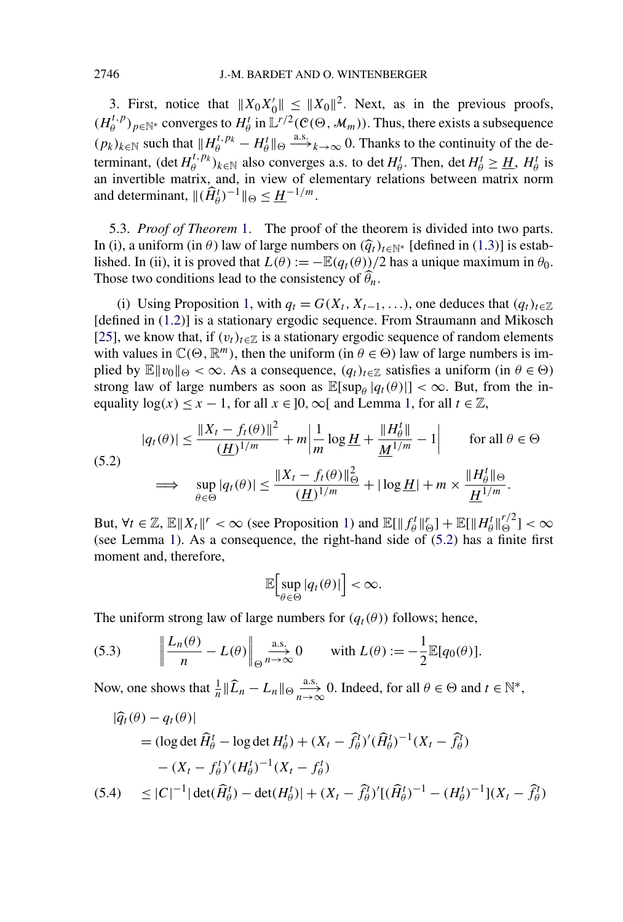<span id="page-16-0"></span>3. First, notice that  $||X_0X_0'|| \le ||X_0||^2$ . Next, as in the previous proofs,  $(H_{\theta}^{t,p})_{p \in \mathbb{N}^*}$  converges to  $H_{\theta}^t$  in  $\mathbb{L}^{r/2}(\mathcal{C}(\Theta, \mathcal{M}_m))$ . Thus, there exists a subsequence  $(p_k)_{k \in \mathbb{N}}$  such that  $||H_{\theta}^{t,p_k} - H_{\theta}^t||_{\Theta} \stackrel{\text{a.s.}}{\longrightarrow}_{k \to \infty} 0$ . Thanks to the continuity of the determinant,  $(\det H_{\theta}^{t, p_k})_{k \in \mathbb{N}}$  also converges a.s. to  $\det H_{\theta}^t$ . Then,  $\det H_{\theta}^t \geq \underline{H}$ ,  $H_{\theta}^t$  is an invertible matrix, and, in view of elementary relations between matrix norm and determinant,  $\|(\widehat{H}_{\theta}^{t})^{-1}\|_{\Theta} \leq \underline{H}^{-1/m}$ .

5.3. *Proof of Theorem* [1.](#page-7-0) The proof of the theorem is divided into two parts. In (i), a uniform (in  $\theta$ ) law of large numbers on  $(\hat{q}_t)_{t \in \mathbb{N}^*}$  [defined in [\(1.3\)](#page-1-0)] is established. In (ii), it is proved that  $L(\theta) := -\mathbb{E}(q_t(\theta))/2$  has a unique maximum in  $\theta_0$ . Those two conditions lead to the consistency of  $\hat{\theta}_n$ .

(i) Using Proposition [1,](#page-5-0) with  $q_t = G(X_t, X_{t-1}, \ldots)$ , one deduces that  $(q_t)_{t \in \mathbb{Z}}$ . [defined in [\(1.2\)](#page-1-0)] is a stationary ergodic sequence. From Straumann and Mikosch [\[25\]](#page-29-0), we know that, if  $(v_t)_{t \in \mathbb{Z}}$  is a stationary ergodic sequence of random elements with values in  $\mathbb{C}(\Theta, \mathbb{R}^m)$ , then the uniform (in  $\theta \in \Theta$ ) law of large numbers is implied by  $\mathbb{E} ||v_0||_{\Theta} < \infty$ . As a consequence,  $(q_t)_{t \in \mathbb{Z}}$  satisfies a uniform (in  $\theta \in \Theta$ ) strong law of large numbers as soon as  $\mathbb{E}[\sup_{\theta} |q_t(\theta)|] < \infty$ . But, from the inequality  $\log(x) \leq x - 1$ , for all  $x \in ]0, \infty[$  and Lemma [1,](#page-6-0) for all  $t \in \mathbb{Z}$ ,

$$
|q_t(\theta)| \le \frac{\|X_t - f_t(\theta)\|^2}{(\underline{H})^{1/m}} + m \left| \frac{1}{m} \log \underline{H} + \frac{\|H_\theta^t\|}{\underline{M}^{1/m}} - 1 \right| \qquad \text{for all } \theta \in \Theta
$$
  
(5.2)  

$$
\implies \sup_{\theta \in \Theta} |q_t(\theta)| \le \frac{\|X_t - f_t(\theta)\|_{\Theta}^2}{(\underline{H})^{1/m}} + |\log \underline{H}| + m \times \frac{\|H_\theta^t\|_{\Theta}}{\underline{H}^{1/m}}.
$$

But,  $\forall t \in \mathbb{Z}, \mathbb{E} \Vert X_t \Vert^r < \infty$  (see Proposition [1\)](#page-5-0) and  $\mathbb{E}[\Vert f_\theta^t \Vert_{\Theta}^r] + \mathbb{E}[\Vert H_\theta^t \Vert_{\Theta}^{r/2}] < \infty$ (see Lemma [1\)](#page-6-0). As a consequence, the right-hand side of (5.2) has a finite first moment and, therefore,

$$
\mathbb{E}\Big[\sup_{\theta\in\Theta}|q_t(\theta)|\Big]<\infty.
$$

The uniform strong law of large numbers for  $(q_t(\theta))$  follows; hence,

(5.3) 
$$
\left\| \frac{L_n(\theta)}{n} - L(\theta) \right\|_{\Theta} \underset{n \to \infty}{\overset{\text{a.s.}}{\longrightarrow}} 0 \quad \text{with } L(\theta) := -\frac{1}{2} \mathbb{E}[q_0(\theta)].
$$

Now, one shows that  $\frac{1}{n} \|\widehat{L}_n - L_n\|_{\Theta} \xrightarrow[n \to \infty]{\text{a.s.}} 0$ . Indeed, for all  $\theta \in \Theta$  and  $t \in \mathbb{N}^*$ ,

$$
|\hat{q}_t(\theta) - q_t(\theta)|
$$
  
=  $(\log \det \hat{H}_{\theta}^t - \log \det H_{\theta}^t) + (X_t - \hat{f}_{\theta}^t)'(\hat{H}_{\theta}^t)^{-1}(X_t - \hat{f}_{\theta}^t)$   
 $- (X_t - f_{\theta}^t)'(H_{\theta}^t)^{-1}(X_t - f_{\theta}^t)$   
(5.4)  $\leq |C|^{-1} |\det(\hat{H}_{\theta}^t) - \det(H_{\theta}^t)| + (X_t - \hat{f}_{\theta}^t)'[(\hat{H}_{\theta}^t)^{-1} - (H_{\theta}^t)^{-1}](X_t - \hat{f}_{\theta}^t)$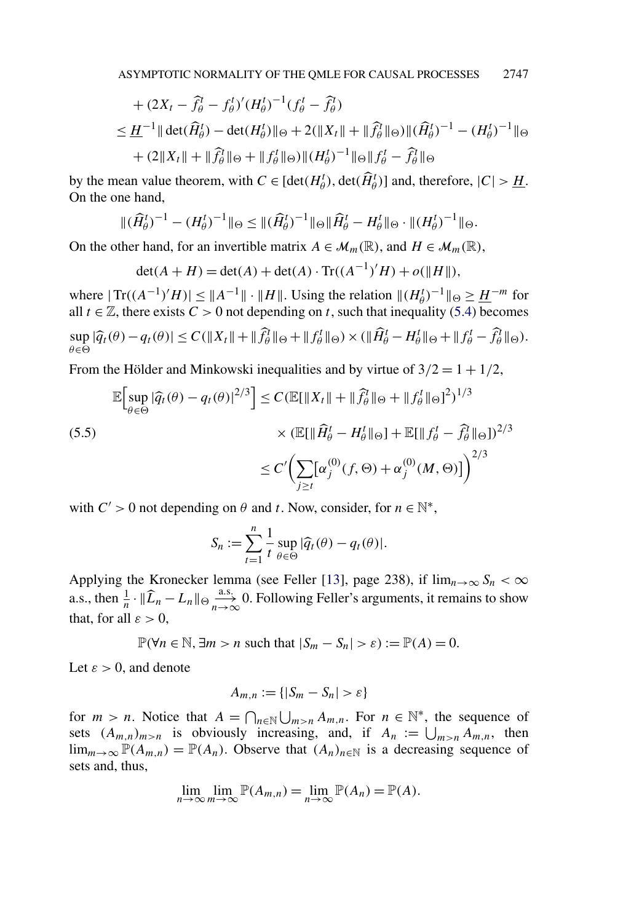<span id="page-17-0"></span>+ 
$$
(2X_t - \hat{f}_{\theta}^t - f_{\theta}^t)' (H_{\theta}^t)^{-1} (f_{\theta}^t - \hat{f}_{\theta}^t)
$$
  
\n $\leq \underline{H}^{-1} || \det(\widehat{H}_{\theta}^t) - \det(H_{\theta}^t) ||_{\Theta} + 2(||X_t|| + ||\widehat{f}_{\theta}^t||_{\Theta}) ||(\widehat{H}_{\theta}^t)^{-1} - (H_{\theta}^t)^{-1} ||_{\Theta}$   
\n+  $(2||X_t|| + ||\widehat{f}_{\theta}^t||_{\Theta} + ||f_{\theta}^t||_{\Theta}) ||(H_{\theta}^t)^{-1} ||_{\Theta} ||f_{\theta}^t - \widehat{f}_{\theta}^t||_{\Theta}$ 

by the mean value theorem, with  $C \in [\det(H_{\theta}^t), \det(\widehat{H}_{\theta}^t)]$  and, therefore,  $|C| > \underline{H}$ . On the one hand,

$$
\|(\widehat{H}_{\theta}^{t})^{-1} - (H_{\theta}^{t})^{-1}\|_{\Theta} \leq \|(\widehat{H}_{\theta}^{t})^{-1}\|_{\Theta} \|\widehat{H}_{\theta}^{t} - H_{\theta}^{t}\|_{\Theta} \cdot \|(H_{\theta}^{t})^{-1}\|_{\Theta}.
$$

On the other hand, for an invertible matrix  $A \in \mathcal{M}_m(\mathbb{R})$ , and  $H \in \mathcal{M}_m(\mathbb{R})$ ,

$$
\det(A + H) = \det(A) + \det(A) \cdot \text{Tr}((A^{-1})'H) + o(\|H\|),
$$

where  $| \text{Tr}((A^{-1})'H)| \leq ||A^{-1}|| \cdot ||H||$ . Using the relation  $||(H_{\theta}^{t})^{-1}||_{\Theta} \geq \underline{H}^{-m}$  for all  $t \in \mathbb{Z}$ , there exists  $C > 0$  not depending on  $t$ , such that inequality [\(5.4\)](#page-16-0) becomes  $\sup_{\theta \in \Theta} |\widehat{q}_t(\theta) - q_t(\theta)| \le C(\|X_t\| + \|\widehat{f}_{\theta}^1\|_{\Theta} + \|f_{\theta}^t\|_{\Theta}) \times (\|\widehat{H}_{\theta}^t - H_{\theta}^t\|_{\Theta} + \|f_{\theta}^t - \widehat{f}_{\theta}^t\|_{\Theta}).$  $\theta \in \Theta$ 

From the Hölder and Minkowski inequalities and by virtue of  $3/2 = 1 + 1/2$ ,

$$
\mathbb{E}\Big[\sup_{\theta \in \Theta} |\widehat{q}_t(\theta) - q_t(\theta)|^{2/3}\Big] \le C (\mathbb{E}[\|X_t\| + \|\widehat{f}_{\theta}^T\|_{\Theta} + \|f_{\theta}^T\|_{\Theta}]^2)^{1/3} \times (\mathbb{E}[\|\widehat{H}_{\theta}^T - H_{\theta}^T\|_{\Theta}] + \mathbb{E}[\|f_{\theta}^T - \widehat{f}_{\theta}^T\|_{\Theta}])^{2/3} \le C' \Big(\sum_{j \ge t} [\alpha_j^{(0)}(f, \Theta) + \alpha_j^{(0)}(M, \Theta)]\Big)^{2/3}
$$

with  $C' > 0$  not depending on  $\theta$  and  $t$ . Now, consider, for  $n \in \mathbb{N}^*$ ,

$$
S_n := \sum_{t=1}^n \frac{1}{t} \sup_{\theta \in \Theta} |\widehat{q}_t(\theta) - q_t(\theta)|.
$$

Applying the Kronecker lemma (see Feller [\[13\]](#page-28-0), page 238), if  $\lim_{n\to\infty} S_n < \infty$ a.s., then  $\frac{1}{n} \cdot \|\widehat{L}_n - L_n\| \oplus \frac{\text{a.s.}}{n \to \infty}$  0. Following Feller's arguments, it remains to show that, for all  $\varepsilon > 0$ ,

$$
\mathbb{P}(\forall n \in \mathbb{N}, \exists m > n \text{ such that } |S_m - S_n| > \varepsilon) := \mathbb{P}(A) = 0.
$$

Let  $\varepsilon > 0$ , and denote

$$
A_{m,n}:=\{|S_m-S_n|>\varepsilon\}
$$

for  $m > n$ . Notice that  $A = \bigcap_{n \in \mathbb{N}} \bigcup_{m>n} A_{m,n}$ . For  $n \in \mathbb{N}^*$ , the sequence of sets  $(A_{m,n})_{m>n}$  is obviously increasing, and, if  $A_n := \bigcup_{m>n} A_{m,n}$ , then lim<sub>*m*→∞</sub>  $\mathbb{P}(A_{m,n}) = \mathbb{P}(A_n)$ . Observe that  $(A_n)_{n \in \mathbb{N}}$  is a decreasing sequence of sets and, thus,

$$
\lim_{n \to \infty} \lim_{m \to \infty} \mathbb{P}(A_{m,n}) = \lim_{n \to \infty} \mathbb{P}(A_n) = \mathbb{P}(A).
$$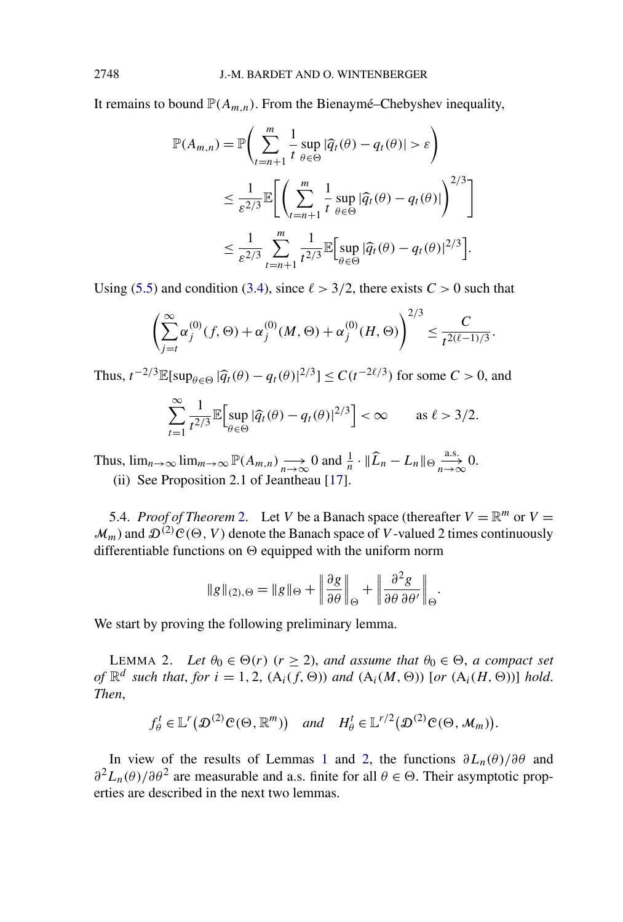<span id="page-18-0"></span>It remains to bound  $\mathbb{P}(A_{m,n})$ . From the Bienaymé–Chebyshev inequality,

$$
\mathbb{P}(A_{m,n}) = \mathbb{P}\left(\sum_{t=n+1}^{m} \frac{1}{t} \sup_{\theta \in \Theta} |\widehat{q}_t(\theta) - q_t(\theta)| > \varepsilon\right)
$$
  

$$
\leq \frac{1}{\varepsilon^{2/3}} \mathbb{E}\left[\left(\sum_{t=n+1}^{m} \frac{1}{t} \sup_{\theta \in \Theta} |\widehat{q}_t(\theta) - q_t(\theta)|\right)^{2/3}\right]
$$
  

$$
\leq \frac{1}{\varepsilon^{2/3}} \sum_{t=n+1}^{m} \frac{1}{t^{2/3}} \mathbb{E}\left[\sup_{\theta \in \Theta} |\widehat{q}_t(\theta) - q_t(\theta)|^{2/3}\right].
$$

Using [\(5.5\)](#page-17-0) and condition [\(3.4\)](#page-7-0), since  $\ell > 3/2$ , there exists  $C > 0$  such that

$$
\left(\sum_{j=t}^{\infty} \alpha_j^{(0)}(f, \Theta) + \alpha_j^{(0)}(M, \Theta) + \alpha_j^{(0)}(H, \Theta)\right)^{2/3} \leq \frac{C}{t^{2(\ell-1)/3}}.
$$

Thus,  $t^{-2/3}$ **E**[sup<sub>θ∈Θ</sub> | $\hat{q}_t(\theta) - q_t(\theta)$ |<sup>2/3</sup>] ≤ *C*( $t^{-2\ell/3}$ ) for some *C* > 0, and

$$
\sum_{t=1}^{\infty} \frac{1}{t^{2/3}} \mathbb{E} \Big[ \sup_{\theta \in \Theta} |\widehat{q}_t(\theta) - q_t(\theta)|^{2/3} \Big] < \infty \quad \text{as } \ell > 3/2.
$$

Thus,  $\lim_{n\to\infty} \lim_{m\to\infty} \mathbb{P}(A_{m,n}) \longrightarrow 0$  and  $\frac{1}{n} \cdot \|\widehat{L}_n - L_n\| \Theta \longrightarrow 0.$ (ii) See Proposition 2.1 of Jeantheau [\[17\]](#page-29-0).

5.4. *Proof of Theorem* [2.](#page-7-0) Let *V* be a Banach space (thereafter  $V = \mathbb{R}^m$  or  $V =$  $\mathcal{M}_m$ ) and  $\mathcal{D}^{(2)}\mathcal{C}(\Theta, V)$  denote the Banach space of *V*-valued 2 times continuously differentiable functions on  $\Theta$  equipped with the uniform norm

$$
\|g\|_{(2),\Theta} = \|g\|_{\Theta} + \left\|\frac{\partial g}{\partial \theta}\right\|_{\Theta} + \left\|\frac{\partial^2 g}{\partial \theta \partial \theta'}\right\|_{\Theta}.
$$

We start by proving the following preliminary lemma.

LEMMA 2. Let  $\theta_0 \in \Theta(r)$  ( $r \geq 2$ ), and assume that  $\theta_0 \in \Theta$ , a compact set *of*  $\mathbb{R}^d$  *such that, for*  $i = 1, 2$ ,  $(A_i(f, \Theta))$  *and*  $(A_i(M, \Theta))$  [*or*  $(A_i(H, \Theta))$ ] *hold. Then*,

$$
f_{\theta}^t \in \mathbb{L}^r(\mathcal{D}^{(2)}\mathcal{C}(\Theta,\mathbb{R}^m))
$$
 and  $H_{\theta}^t \in \mathbb{L}^{r/2}(\mathcal{D}^{(2)}\mathcal{C}(\Theta,\mathcal{M}_m)).$ 

In view of the results of Lemmas [1](#page-6-0) and 2, the functions  $\partial L_n(\theta)/\partial \theta$  and  $\partial^2 L_n(\theta) / \partial \theta^2$  are measurable and a.s. finite for all  $\theta \in \Theta$ . Their asymptotic properties are described in the next two lemmas.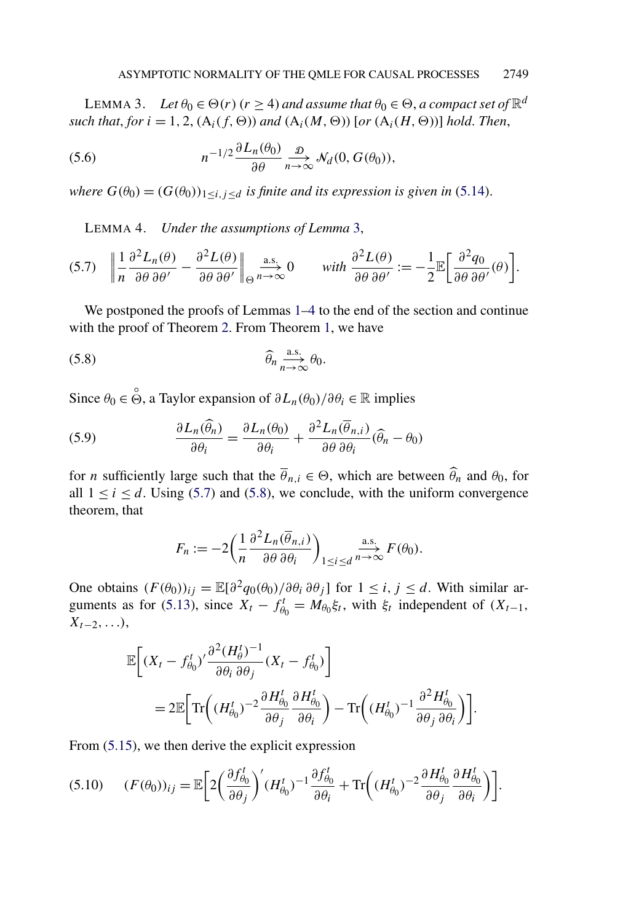<span id="page-19-0"></span>LEMMA 3. *Let*  $\theta_0 \in \Theta(r)$  ( $r \ge 4$ ) and assume that  $\theta_0 \in \Theta$ , a compact set of  $\mathbb{R}^d$ *such that, for*  $i = 1, 2$ ,  $(A_i(f, \Theta))$  *and*  $(A_i(M, \Theta))$  [*or*  $(A_i(H, \Theta))$ ] *hold. Then,* 

(5.6) 
$$
n^{-1/2} \frac{\partial L_n(\theta_0)}{\partial \theta} \underset{n \to \infty}{\longrightarrow} \mathcal{N}_d(0, G(\theta_0)),
$$

*where*  $G(\theta_0) = (G(\theta_0))_{1 \leq i, j \leq d}$  *is finite and its expression is given in* [\(5.14\)](#page-24-0).

LEMMA 4. *Under the assumptions of Lemma* 3,

$$
(5.7) \quad \left\| \frac{1}{n} \frac{\partial^2 L_n(\theta)}{\partial \theta \partial \theta'} - \frac{\partial^2 L(\theta)}{\partial \theta \partial \theta'} \right\|_{\Theta} \underset{n \to \infty}{\longrightarrow} 0 \qquad \text{with } \frac{\partial^2 L(\theta)}{\partial \theta \partial \theta'} := -\frac{1}{2} \mathbb{E} \bigg[ \frac{\partial^2 q_0}{\partial \theta \partial \theta'}(\theta) \bigg].
$$

We postponed the proofs of Lemmas [1–](#page-6-0)4 to the end of the section and continue with the proof of Theorem [2.](#page-7-0) From Theorem [1,](#page-7-0) we have

$$
\widehat{\theta}_n \underset{n \to \infty}{\overset{\text{a.s.}}{\longrightarrow}} \theta_0.
$$

Since  $\theta_0 \in \overset{\circ}{\Theta}$ , a Taylor expansion of  $\partial L_n(\theta_0)/\partial \theta_i \in \mathbb{R}$  implies

(5.9) 
$$
\frac{\partial L_n(\widehat{\theta}_n)}{\partial \theta_i} = \frac{\partial L_n(\theta_0)}{\partial \theta_i} + \frac{\partial^2 L_n(\overline{\theta}_{n,i})}{\partial \theta \partial \theta_i}(\widehat{\theta}_n - \theta_0)
$$

for *n* sufficiently large such that the  $\overline{\theta}_{n,i} \in \Theta$ , which are between  $\widehat{\theta}_n$  and  $\theta_0$ , for all  $1 \le i \le d$ . Using (5.7) and (5.8), we conclude, with the uniform convergence theorem, that

$$
F_n := -2\left(\frac{1}{n}\frac{\partial^2 L_n(\overline{\theta}_{n,i})}{\partial \theta \partial \theta_i}\right)_{1\leq i \leq d} \xrightarrow{n \to \infty} F(\theta_0).
$$

One obtains  $(F(\theta_0))_{ij} = \mathbb{E}[\partial^2 q_0(\theta_0)/\partial \theta_i \partial \theta_j]$  for  $1 \le i, j \le d$ . With similar ar-guments as for [\(5.13\)](#page-23-0), since  $X_t - f_{\theta_0}^t = M_{\theta_0} \xi_t$ , with  $\xi_t$  independent of  $(X_{t-1},$ *Xt*<sup>−</sup>2*,...)*,

$$
\mathbb{E}\bigg[(X_t - f_{\theta_0}^t)' \frac{\partial^2 (H_{\theta}^t)^{-1}}{\partial \theta_i \partial \theta_j} (X_t - f_{\theta_0}^t)\bigg]
$$
  
= 
$$
2\mathbb{E}\bigg[\mathrm{Tr}\bigg((H_{\theta_0}^t)^{-2} \frac{\partial H_{\theta_0}^t}{\partial \theta_j} \frac{\partial H_{\theta_0}^t}{\partial \theta_i}\bigg) - \mathrm{Tr}\bigg((H_{\theta_0}^t)^{-1} \frac{\partial^2 H_{\theta_0}^t}{\partial \theta_j \partial \theta_i}\bigg)\bigg].
$$

From [\(5.15\)](#page-24-0), we then derive the explicit expression

*(F(θ*0*))ij* = E 2 *∂f <sup>t</sup> θ*0 *∂θj (H<sup>t</sup> θ*0 *)* <sup>−</sup><sup>1</sup> *∂f <sup>t</sup> θ*0 *∂θi* <sup>+</sup> Tr *(H<sup>t</sup> θ*0 *)* <sup>−</sup><sup>2</sup> *∂H<sup>t</sup> θ*0 *∂θj ∂H<sup>t</sup> θ*0 *∂θi* (5.10) *.*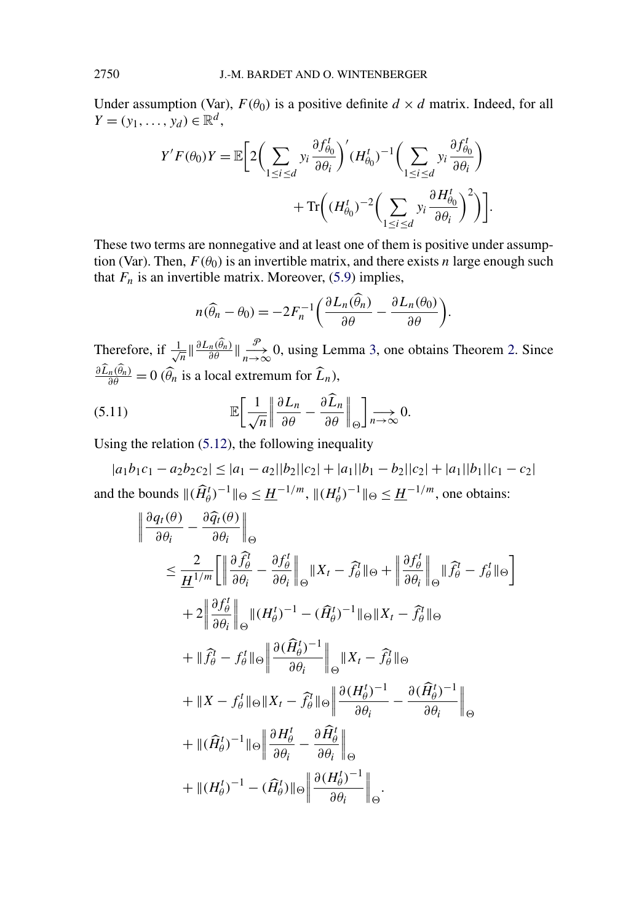Under assumption (Var),  $F(\theta_0)$  is a positive definite  $d \times d$  matrix. Indeed, for all *Y* =  $(y_1, ..., y_d)$  ∈  $\mathbb{R}^d$ ,

$$
Y'F(\theta_0)Y = \mathbb{E}\bigg[2\bigg(\sum_{1 \le i \le d} y_i \frac{\partial f_{\theta_0}^t}{\partial \theta_i}\bigg)' (H_{\theta_0}^t)^{-1} \bigg(\sum_{1 \le i \le d} y_i \frac{\partial f_{\theta_0}^t}{\partial \theta_i}\bigg) + \text{Tr}\bigg((H_{\theta_0}^t)^{-2} \bigg(\sum_{1 \le i \le d} y_i \frac{\partial H_{\theta_0}^t}{\partial \theta_i}\bigg)^2\bigg)\bigg].
$$

These two terms are nonnegative and at least one of them is positive under assumption (Var). Then,  $F(\theta_0)$  is an invertible matrix, and there exists *n* large enough such that  $F_n$  is an invertible matrix. Moreover, [\(5.9\)](#page-19-0) implies,

$$
n(\widehat{\theta}_n - \theta_0) = -2F_n^{-1} \left( \frac{\partial L_n(\widehat{\theta}_n)}{\partial \theta} - \frac{\partial L_n(\theta_0)}{\partial \theta} \right).
$$

Therefore, if  $\frac{1}{\sqrt{n}} \|\frac{\partial L_n(\widehat{\theta}_n)}{\partial \theta}\|_{n \to \infty}^{\mathcal{P}}$  0, using Lemma [3,](#page-19-0) one obtains Theorem [2.](#page-7-0) Since  $\frac{\partial L_n(\theta_n)}{\partial \theta} = 0$  ( $\widehat{\theta}_n$  is a local extremum for  $\widehat{L}_n$ ),

(5.11) 
$$
\mathbb{E}\bigg[\frac{1}{\sqrt{n}}\bigg\|\frac{\partial L_n}{\partial \theta} - \frac{\partial \widehat{L}_n}{\partial \theta}\bigg\|_{\Theta}\bigg] \underset{n \to \infty}{\longrightarrow} 0.
$$

Using the relation [\(5.12\)](#page-23-0), the following inequality

 $|a_1b_1c_1 - a_2b_2c_2| \leq |a_1 - a_2||b_2||c_2| + |a_1||b_1 - b_2||c_2| + |a_1||b_1||c_1 - c_2|$ and the bounds  $\|(\widehat{H}_{\theta}^{t})^{-1}\|_{\Theta} \leq \underline{H}^{-1/m}, \|(H_{\theta}^{t})^{-1}\|_{\Theta} \leq \underline{H}^{-1/m}$ , one obtains:

$$
\begin{split}\n\left\| \frac{\partial q_t(\theta)}{\partial \theta_i} - \frac{\partial \widehat{q}_t(\theta)}{\partial \theta_i} \right\|_{\Theta} \\
&\leq \frac{2}{H^{1/m}} \left[ \left\| \frac{\partial \widehat{f}_{\theta}^t}{\partial \theta_i} - \frac{\partial f_{\theta}^t}{\partial \theta_i} \right\|_{\Theta} \|X_t - \widehat{f}_{\theta}^t\|_{\Theta} + \left\| \frac{\partial f_{\theta}^t}{\partial \theta_i} \right\|_{\Theta} \| \widehat{f}_{\theta}^t - f_{\theta}^t\|_{\Theta} \right] \\
&+ 2 \left\| \frac{\partial f_{\theta}^t}{\partial \theta_i} \right\|_{\Theta} \| (H_{\theta}^t)^{-1} - (\widehat{H}_{\theta}^t)^{-1} \|_{\Theta} \|X_t - \widehat{f}_{\theta}^t\|_{\Theta} \\
&+ \| \widehat{f}_{\theta}^t - f_{\theta}^t \|_{\Theta} \left\| \frac{\partial (\widehat{H}_{\theta}^t)^{-1}}{\partial \theta_i} \right\|_{\Theta} \|X_t - \widehat{f}_{\theta}^t\|_{\Theta} \\
&+ \|X - f_{\theta}^t \|_{\Theta} \|X_t - \widehat{f}_{\theta}^t \|_{\Theta} \left\| \frac{\partial (H_{\theta}^t)^{-1}}{\partial \theta_i} - \frac{\partial (\widehat{H}_{\theta}^t)^{-1}}{\partial \theta_i} \right\|_{\Theta} \\
&+ \| (\widehat{H}_{\theta}^t)^{-1} \|_{\Theta} \left\| \frac{\partial H_{\theta}^t}{\partial \theta_i} - \frac{\partial \widehat{H}_{\theta}^t}{\partial \theta_i} \right\|_{\Theta} \\
&+ \| (H_{\theta}^t)^{-1} - (\widehat{H}_{\theta}^t) \|_{\Theta} \left\| \frac{\partial (H_{\theta}^t)^{-1}}{\partial \theta_i} \right\|_{\Theta}.\n\end{split}
$$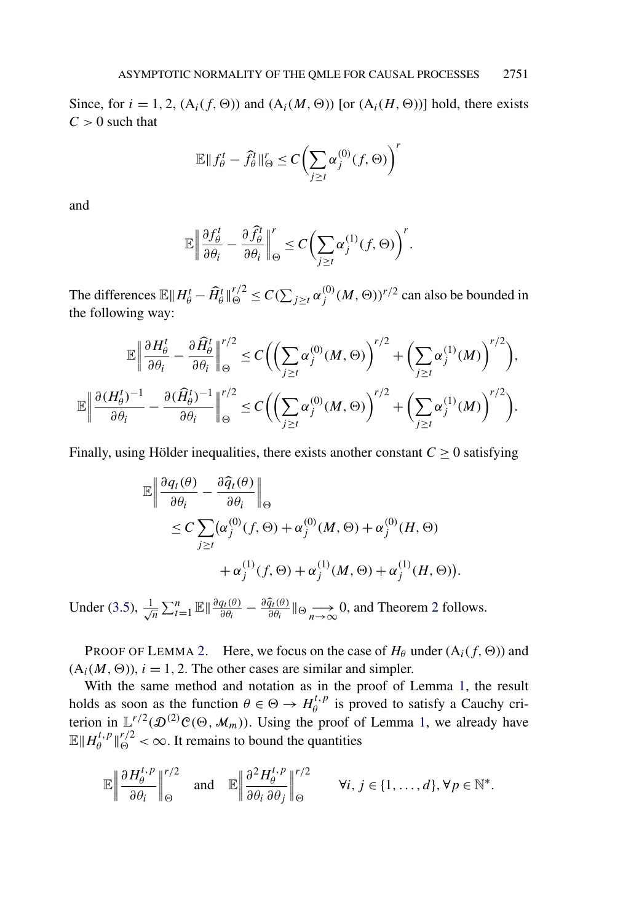Since, for  $i = 1, 2, (A_i(f, \Theta))$  and  $(A_i(M, \Theta))$  [or  $(A_i(H, \Theta))$ ] hold, there exists  $C > 0$  such that

$$
\mathbb{E} \|f_{\theta}^{t} - \widehat{f_{\theta}^{t}}\|_{\Theta}^{r} \le C \bigg(\sum_{j \ge t} \alpha_{j}^{(0)}(f, \Theta)\bigg)^{r}
$$

and

$$
\mathbb{E}\left\|\frac{\partial f_{\theta}^t}{\partial \theta_i} - \frac{\partial \widehat{f_{\theta}^t}}{\partial \theta_i}\right\|_{\Theta}^r \le C\bigg(\sum_{j\ge t}\alpha_j^{(1)}(f,\Theta)\bigg)^r.
$$

The differences  $\mathbb{E} \| H_\theta^t - \widehat{H}_\theta^t \|^r_0 \le C(\sum_{j \ge t} \alpha_j^{(0)}(M, \Theta))^{r/2}$  can also be bounded in the following way:

$$
\mathbb{E}\left\|\frac{\partial H_{\theta}^{t}}{\partial \theta_{i}} - \frac{\partial \widehat{H}_{\theta}^{t}}{\partial \theta_{i}}\right\|_{\Theta}^{r/2} \le C\bigg(\bigg(\sum_{j\ge t} \alpha_{j}^{(0)}(M,\Theta)\bigg)^{r/2} + \bigg(\sum_{j\ge t} \alpha_{j}^{(1)}(M)\bigg)^{r/2}\bigg),
$$
  

$$
\mathbb{E}\left\|\frac{\partial (H_{\theta}^{t})^{-1}}{\partial \theta_{i}} - \frac{\partial (\widehat{H}_{\theta}^{t})^{-1}}{\partial \theta_{i}}\right\|_{\Theta}^{r/2} \le C\bigg(\bigg(\sum_{j\ge t} \alpha_{j}^{(0)}(M,\Theta)\bigg)^{r/2} + \bigg(\sum_{j\ge t} \alpha_{j}^{(1)}(M)\bigg)^{r/2}\bigg).
$$

Finally, using Hölder inequalities, there exists another constant  $C \geq 0$  satisfying

$$
\mathbb{E}\left\|\frac{\partial q_t(\theta)}{\partial \theta_i} - \frac{\partial \widehat{q}_t(\theta)}{\partial \theta_i}\right\|_{\Theta}
$$
  
\n
$$
\leq C \sum_{j\geq t} (\alpha_j^{(0)}(f, \Theta) + \alpha_j^{(0)}(M, \Theta) + \alpha_j^{(0)}(H, \Theta)
$$
  
\n
$$
+ \alpha_j^{(1)}(f, \Theta) + \alpha_j^{(1)}(M, \Theta) + \alpha_j^{(1)}(H, \Theta)).
$$

Under [\(3.5\)](#page-7-0),  $\frac{1}{4}$  $\frac{1}{n} \sum_{t=1}^{n} \mathbb{E} \|\frac{\partial q_t(\theta)}{\partial \theta_i} - \frac{\partial \widehat{q}_t(\theta)}{\partial \theta_i}\|_{\Theta} \longrightarrow 0$ , and Theorem [2](#page-7-0) follows.

PROOF OF LEMMA [2.](#page-18-0) Here, we focus on the case of  $H_\theta$  under  $(A_i(f, \Theta))$  and  $(A_i(M, \Theta))$ ,  $i = 1, 2$ . The other cases are similar and simpler.

With the same method and notation as in the proof of Lemma [1,](#page-6-0) the result holds as soon as the function  $\theta \in \Theta \to H^{t,p}_{\theta}$  is proved to satisfy a Cauchy criterion in  $\mathbb{L}^{r/2}(\mathcal{D}^{(2)}\mathcal{C}(\Theta, \mathcal{M}_m))$ . Using the proof of Lemma [1,](#page-6-0) we already have  $\mathbb{E} \| H_{\theta}^{t,p} \|_{\Theta}^{r/2} < \infty$ . It remains to bound the quantities

$$
\mathbb{E}\left\|\frac{\partial H_{\theta}^{t,p}}{\partial \theta_i}\right\|_{\Theta}^{r/2} \quad \text{and} \quad \mathbb{E}\left\|\frac{\partial^2 H_{\theta}^{t,p}}{\partial \theta_i \partial \theta_j}\right\|_{\Theta}^{r/2} \qquad \forall i, j \in \{1, \ldots, d\}, \forall p \in \mathbb{N}^*.
$$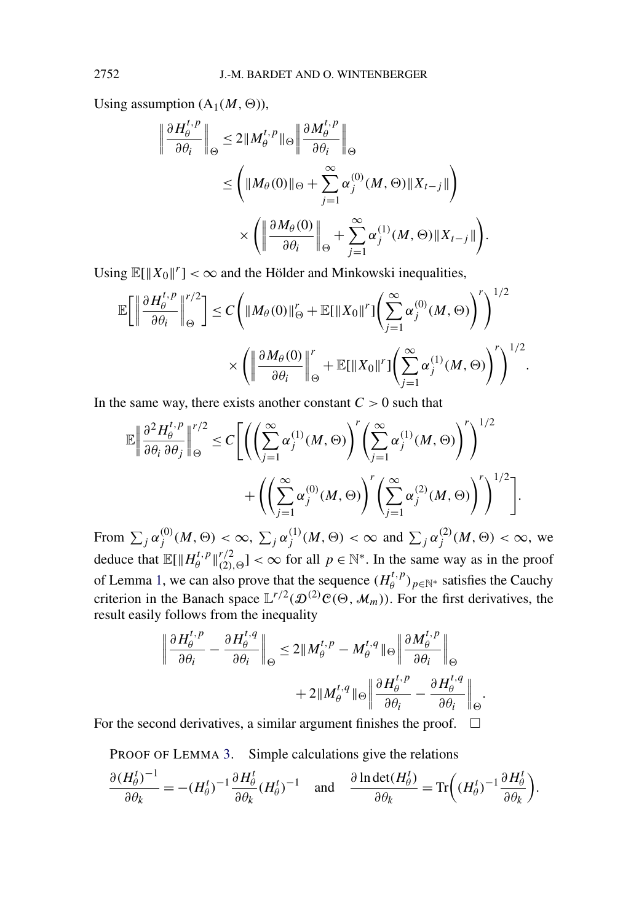Using assumption  $(A_1(M, \Theta))$ ,

$$
\left\|\frac{\partial H_{\theta}^{t,p}}{\partial \theta_{i}}\right\|_{\Theta} \leq 2\|M_{\theta}^{t,p}\|_{\Theta} \left\|\frac{\partial M_{\theta}^{t,p}}{\partial \theta_{i}}\right\|_{\Theta}
$$
  

$$
\leq \left(\|M_{\theta}(0)\|_{\Theta} + \sum_{j=1}^{\infty} \alpha_{j}^{(0)}(M,\Theta)\|X_{t-j}\|\right)
$$
  

$$
\times \left(\left\|\frac{\partial M_{\theta}(0)}{\partial \theta_{i}}\right\|_{\Theta} + \sum_{j=1}^{\infty} \alpha_{j}^{(1)}(M,\Theta)\|X_{t-j}\|\right).
$$

Using  $\mathbb{E}[\|X_0\|^r] < \infty$  and the Hölder and Minkowski inequalities,

$$
\mathbb{E}\bigg[\bigg\|\frac{\partial H_{\theta}^{t,p}}{\partial \theta_i}\bigg\|_{\Theta}^{r/2}\bigg] \leq C\bigg(\|M_{\theta}(0)\|_{\Theta}^r + \mathbb{E}[\|X_0\|^r]\bigg(\sum_{j=1}^{\infty} \alpha_j^{(0)}(M,\Theta)\bigg)^r\bigg)^{1/2} \times \bigg(\bigg\|\frac{\partial M_{\theta}(0)}{\partial \theta_i}\bigg\|_{\Theta}^r + \mathbb{E}[\|X_0\|^r]\bigg(\sum_{j=1}^{\infty} \alpha_j^{(1)}(M,\Theta)\bigg)^r\bigg)^{1/2}.
$$

In the same way, there exists another constant  $C > 0$  such that

$$
\mathbb{E}\left\|\frac{\partial^2 H_{\theta}^{t,p}}{\partial \theta_i \partial \theta_j}\right\|_{\Theta}^{r/2} \leq C\Bigg[\Bigg(\Bigg(\sum_{j=1}^{\infty} \alpha_j^{(1)}(M,\Theta)\Bigg)^r \Bigg(\sum_{j=1}^{\infty} \alpha_j^{(1)}(M,\Theta)\Bigg)^r\Bigg)^{1/2} + \Bigg(\Bigg(\sum_{j=1}^{\infty} \alpha_j^{(0)}(M,\Theta)\Bigg)^r \Bigg(\sum_{j=1}^{\infty} \alpha_j^{(2)}(M,\Theta)\Bigg)^r\Bigg)^{1/2}\Bigg].
$$

From  $\sum_j \alpha_j^{(0)}(M, \Theta) < \infty$ ,  $\sum_j \alpha_j^{(1)}(M, \Theta) < \infty$  and  $\sum_j \alpha_j^{(2)}(M, \Theta) < \infty$ , we deduce that  $\mathbb{E}[\|H_{\theta}^{t,p}\|_{(2),\Theta}^{r/2}] < \infty$  for all  $p \in \mathbb{N}^*$ . In the same way as in the proof of Lemma [1,](#page-6-0) we can also prove that the sequence  $(H_{\theta}^{t,p})_{p \in \mathbb{N}^*}$  satisfies the Cauchy criterion in the Banach space  $\mathbb{L}^{r/2}(\mathcal{D}^{(2)}\mathcal{C}(\Theta, \mathcal{M}_m))$ . For the first derivatives, the result easily follows from the inequality

$$
\left\| \frac{\partial H_{\theta}^{t,p}}{\partial \theta_{i}} - \frac{\partial H_{\theta}^{t,q}}{\partial \theta_{i}} \right\|_{\Theta} \leq 2 \| M_{\theta}^{t,p} - M_{\theta}^{t,q} \|_{\Theta} \left\| \frac{\partial M_{\theta}^{t,p}}{\partial \theta_{i}} \right\|_{\Theta} + 2 \| M_{\theta}^{t,q} \|_{\Theta} \left\| \frac{\partial H_{\theta}^{t,p}}{\partial \theta_{i}} - \frac{\partial H_{\theta}^{t,q}}{\partial \theta_{i}} \right\|_{\Theta}.
$$

For the second derivatives, a similar argument finishes the proof.  $\Box$ 

PROOF OF LEMMA [3.](#page-19-0) Simple calculations give the relations

$$
\frac{\partial (H_{\theta}^{t})^{-1}}{\partial \theta_{k}} = -(H_{\theta}^{t})^{-1} \frac{\partial H_{\theta}^{t}}{\partial \theta_{k}} (H_{\theta}^{t})^{-1} \quad \text{and} \quad \frac{\partial \ln \det(H_{\theta}^{t})}{\partial \theta_{k}} = \text{Tr}\left((H_{\theta}^{t})^{-1} \frac{\partial H_{\theta}^{t}}{\partial \theta_{k}}\right).
$$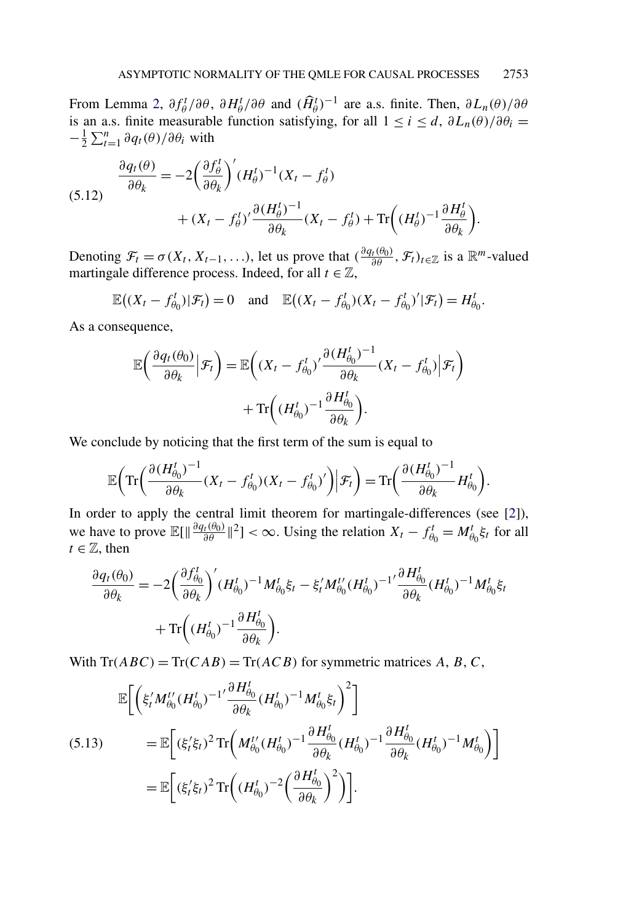<span id="page-23-0"></span>From Lemma [2,](#page-18-0)  $\partial f_{\theta}^t/\partial \theta$ ,  $\partial H_{\theta}^t/\partial \theta$  and  $(\widehat{H}_{\theta}^t)^{-1}$  are a.s. finite. Then,  $\partial L_n(\theta)/\partial \theta$ is an a.s. finite measurable function satisfying, for all  $1 \le i \le d$ ,  $\partial L_n(\theta)/\partial \theta_i =$  $-\frac{1}{2}\sum_{t=1}^{n} \partial q_t(\theta) / \partial \theta_i$  with

(5.12) 
$$
\frac{\partial q_t(\theta)}{\partial \theta_k} = -2 \left( \frac{\partial f_{\theta}^t}{\partial \theta_k} \right)' (H_{\theta}^t)^{-1} (X_t - f_{\theta}^t) + (X_t - f_{\theta}^t)' \frac{\partial (H_{\theta}^t)^{-1}}{\partial \theta_k} (X_t - f_{\theta}^t) + \text{Tr} \left( (H_{\theta}^t)^{-1} \frac{\partial H_{\theta}^t}{\partial \theta_k} \right).
$$

Denoting  $\mathcal{F}_t = \sigma(X_t, X_{t-1}, \ldots)$ , let us prove that  $\left(\frac{\partial q_t(\theta_0)}{\partial \theta}, \mathcal{F}_t\right)_{t \in \mathbb{Z}}$  is a  $\mathbb{R}^m$ -valued martingale difference process. Indeed, for all  $t \in \mathbb{Z}$ ,

$$
\mathbb{E}\big((X_t-f_{\theta_0}^t)|\mathcal{F}_t\big)=0 \quad \text{and} \quad \mathbb{E}\big((X_t-f_{\theta_0}^t)(X_t-f_{\theta_0}^t)'|\mathcal{F}_t\big)=H_{\theta_0}^t.
$$

As a consequence,

$$
\mathbb{E}\left(\frac{\partial q_t(\theta_0)}{\partial \theta_k}\Big|\mathcal{F}_t\right) = \mathbb{E}\left((X_t - f_{\theta_0}^t)'\frac{\partial (H_{\theta_0}^t)^{-1}}{\partial \theta_k}(X_t - f_{\theta_0}^t)\Big|\mathcal{F}_t\right) + \text{Tr}\left((H_{\theta_0}^t)^{-1}\frac{\partial H_{\theta_0}^t}{\partial \theta_k}\right).
$$

We conclude by noticing that the first term of the sum is equal to

$$
\mathbb{E}\Big(\mathrm{Tr}\Big(\frac{\partial (H_{\theta_0}^t)^{-1}}{\partial \theta_k}(X_t-f_{\theta_0}^t)(X_t-f_{\theta_0}^t)'\Big)\Big|\mathcal{F}_t\Big)=\mathrm{Tr}\Big(\frac{\partial (H_{\theta_0}^t)^{-1}}{\partial \theta_k}H_{\theta_0}^t\Big).
$$

In order to apply the central limit theorem for martingale-differences (see [\[2\]](#page-28-0)), we have to prove  $\mathbb{E}[\|\frac{\partial q_t(\theta_0)}{\partial \theta}\|^2] < \infty$ . Using the relation  $X_t - f_{\theta_0}^t = M_{\theta_0}^t \xi_t$  for all  $t \in \mathbb{Z}$ , then

$$
\frac{\partial q_t(\theta_0)}{\partial \theta_k} = -2 \left( \frac{\partial f_{\theta_0}^t}{\partial \theta_k} \right)' (H_{\theta_0}^t)^{-1} M_{\theta_0}^t \xi_t - \xi_t' M_{\theta_0}^{t'} (H_{\theta_0}^t)^{-1'} \frac{\partial H_{\theta_0}^t}{\partial \theta_k} (H_{\theta_0}^t)^{-1} M_{\theta_0}^t \xi_t + \text{Tr} \left( (H_{\theta_0}^t)^{-1} \frac{\partial H_{\theta_0}^t}{\partial \theta_k} \right).
$$

With  $\text{Tr}(ABC) = \text{Tr}(CAB) = \text{Tr}(ACB)$  for symmetric matrices A, B, C,

$$
\mathbb{E}\bigg[\bigg(\xi'_t M_{\theta_0}^{t'} (H_{\theta_0}^t)^{-1'} \frac{\partial H_{\theta_0}^t}{\partial \theta_k} (H_{\theta_0}^t)^{-1} M_{\theta_0}^t \xi_t\bigg)^2\bigg]
$$
\n(5.13)\n
$$
= \mathbb{E}\bigg[(\xi'_t \xi_t)^2 \operatorname{Tr}\bigg(M_{\theta_0}^{t'} (H_{\theta_0}^t)^{-1} \frac{\partial H_{\theta_0}^t}{\partial \theta_k} (H_{\theta_0}^t)^{-1} \frac{\partial H_{\theta_0}^t}{\partial \theta_k} (H_{\theta_0}^t)^{-1} M_{\theta_0}^t\bigg)\bigg]
$$
\n
$$
= \mathbb{E}\bigg[(\xi'_t \xi_t)^2 \operatorname{Tr}\bigg((H_{\theta_0}^t)^{-2} \bigg(\frac{\partial H_{\theta_0}^t}{\partial \theta_k}\bigg)^2\bigg)\bigg].
$$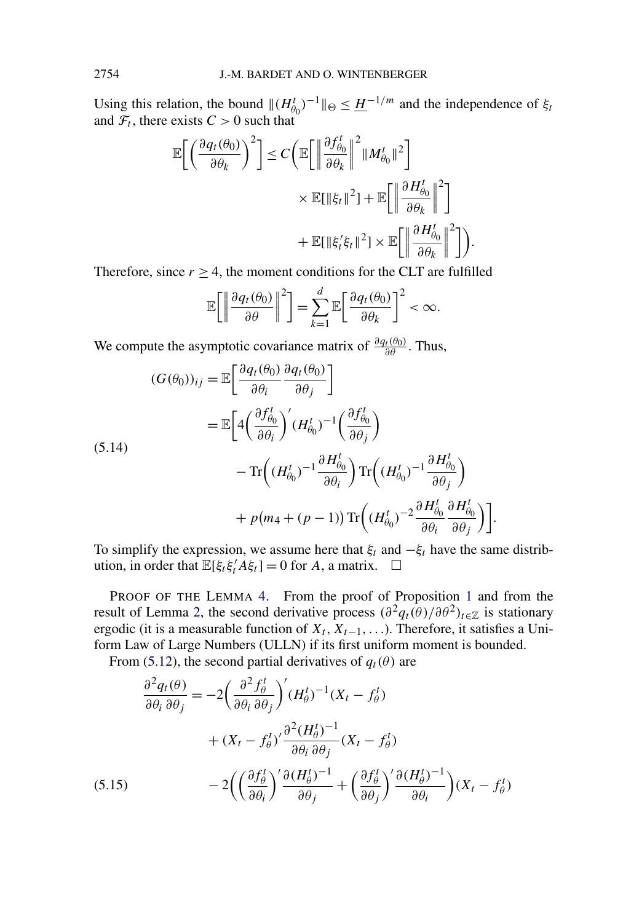<span id="page-24-0"></span>Using this relation, the bound  $\|(H_{\theta_0}^t)^{-1}\|_{\Theta} \leq \underline{H}^{-1/m}$  and the independence of  $\xi_t$ and  $\mathcal{F}_t$ , there exists  $C > 0$  such that

$$
\mathbb{E}\bigg[\bigg(\frac{\partial q_t(\theta_0)}{\partial \theta_k}\bigg)^2\bigg] \le C \bigg(\mathbb{E}\bigg[\bigg\|\frac{\partial f_{\theta_0}^t}{\partial \theta_k}\bigg\|^2 \|M_{\theta_0}^t\|^2\bigg] \times \mathbb{E}[\|\xi_t\|^2] + \mathbb{E}\bigg[\bigg\|\frac{\partial H_{\theta_0}^t}{\partial \theta_k}\bigg\|^2\bigg] + \mathbb{E}[\|\xi_t'\xi_t\|^2] \times \mathbb{E}\bigg[\bigg\|\frac{\partial H_{\theta_0}^t}{\partial \theta_k}\bigg\|^2\bigg]\bigg).
$$

Therefore, since  $r \geq 4$ , the moment conditions for the CLT are fulfilled

$$
\mathbb{E}\bigg[\bigg\|\frac{\partial q_t(\theta_0)}{\partial \theta}\bigg\|^2\bigg]=\sum_{k=1}^d\mathbb{E}\bigg[\frac{\partial q_t(\theta_0)}{\partial \theta_k}\bigg]^2<\infty.
$$

We compute the asymptotic covariance matrix of  $\frac{\partial q_t(\theta_0)}{\partial \theta}$ . Thus,

$$
(G(\theta_0))_{ij} = \mathbb{E}\left[\frac{\partial q_t(\theta_0)}{\partial \theta_i} \frac{\partial q_t(\theta_0)}{\partial \theta_j}\right]
$$
  
\n
$$
= \mathbb{E}\left[4\left(\frac{\partial f_{\theta_0}^t}{\partial \theta_i}\right)' (H_{\theta_0}^t)^{-1} \left(\frac{\partial f_{\theta_0}^t}{\partial \theta_j}\right) - \text{Tr}\left((H_{\theta_0}^t)^{-1} \frac{\partial H_{\theta_0}^t}{\partial \theta_i}\right) \text{Tr}\left((H_{\theta_0}^t)^{-1} \frac{\partial H_{\theta_0}^t}{\partial \theta_j}\right) + p(m_4 + (p - 1)) \text{Tr}\left((H_{\theta_0}^t)^{-2} \frac{\partial H_{\theta_0}^t}{\partial \theta_i} \frac{\partial H_{\theta_0}^t}{\partial \theta_j}\right)\right].
$$

To simplify the expression, we assume here that  $\xi_t$  and  $-\xi_t$  have the same distribution, in order that  $\mathbb{E}[\xi_t \xi_t^{\prime} A \xi_t] = 0$  for *A*, a matrix.  $\Box$ 

PROOF OF THE LEMMA [4.](#page-19-0) From the proof of Proposition [1](#page-5-0) and from the result of Lemma [2,](#page-18-0) the second derivative process  $(\partial^2 q_t(\theta)/\partial \theta^2)_{t \in \mathbb{Z}}$  is stationary ergodic (it is a measurable function of  $X_t, X_{t-1}, \ldots$ ). Therefore, it satisfies a Uniform Law of Large Numbers (ULLN) if its first uniform moment is bounded.

From [\(5.12\)](#page-23-0), the second partial derivatives of  $q_t(\theta)$  are

$$
\frac{\partial^2 q_t(\theta)}{\partial \theta_i \partial \theta_j} = -2 \left( \frac{\partial^2 f_{\theta}^t}{\partial \theta_i \partial \theta_j} \right)' (H_{\theta}^t)^{-1} (X_t - f_{\theta}^t)
$$

$$
+ (X_t - f_{\theta}^t)' \frac{\partial^2 (H_{\theta}^t)^{-1}}{\partial \theta_i \partial \theta_j} (X_t - f_{\theta}^t)
$$

$$
-2 \left( \left( \frac{\partial f_{\theta}^t}{\partial \theta_i} \right)' \frac{\partial (H_{\theta}^t)^{-1}}{\partial \theta_j} + \left( \frac{\partial f_{\theta}^t}{\partial \theta_j} \right)' \frac{\partial (H_{\theta}^t)^{-1}}{\partial \theta_i} \right) (X_t - f_{\theta}^t)
$$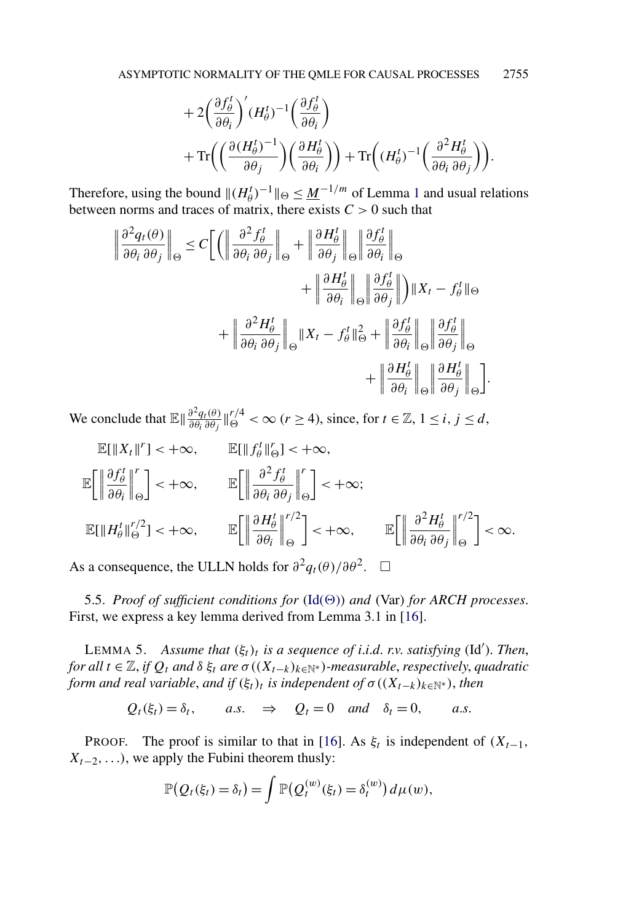$$
+ 2\left(\frac{\partial f_{\theta}^{t}}{\partial \theta_{i}}\right)' (H_{\theta}^{t})^{-1} \left(\frac{\partial f_{\theta}^{t}}{\partial \theta_{i}}\right) + \text{Tr}\left(\left(\frac{\partial (H_{\theta}^{t})^{-1}}{\partial \theta_{j}}\right) \left(\frac{\partial H_{\theta}^{t}}{\partial \theta_{i}}\right)\right) + \text{Tr}\left((H_{\theta}^{t})^{-1} \left(\frac{\partial^{2} H_{\theta}^{t}}{\partial \theta_{i} \partial \theta_{j}}\right)\right).
$$

<span id="page-25-0"></span>Therefore, using the bound  $\|(H_{\theta}^{t})^{-1}\|_{\Theta} \leq \underline{M}^{-1/m}$  $\|(H_{\theta}^{t})^{-1}\|_{\Theta} \leq \underline{M}^{-1/m}$  $\|(H_{\theta}^{t})^{-1}\|_{\Theta} \leq \underline{M}^{-1/m}$  of Lemma 1 and usual relations between norms and traces of matrix, there exists  $C > 0$  such that

$$
\left\| \frac{\partial^2 q_t(\theta)}{\partial \theta_i \partial \theta_j} \right\|_{\Theta} \leq C \left[ \left( \left\| \frac{\partial^2 f_{\theta}^t}{\partial \theta_i \partial \theta_j} \right\|_{\Theta} + \left\| \frac{\partial H_{\theta}^t}{\partial \theta_j} \right\|_{\Theta} \left\| \frac{\partial f_{\theta}^t}{\partial \theta_i} \right\|_{\Theta} \right. \\ \left. + \left\| \frac{\partial H_{\theta}^t}{\partial \theta_i} \right\|_{\Theta} \left\| \frac{\partial f_{\theta}^t}{\partial \theta_j} \right\| \right) \|X_t - f_{\theta}^t\|_{\Theta} \\ + \left\| \frac{\partial^2 H_{\theta}^t}{\partial \theta_i \partial \theta_j} \right\|_{\Theta} \|X_t - f_{\theta}^t\|_{\Theta}^2 + \left\| \frac{\partial f_{\theta}^t}{\partial \theta_i} \right\|_{\Theta} \left\| \frac{\partial f_{\theta}^t}{\partial \theta_j} \right\|_{\Theta} \\ + \left\| \frac{\partial H_{\theta}^t}{\partial \theta_i} \right\|_{\Theta} \left\| \frac{\partial H_{\theta}^t}{\partial \theta_j} \right\|_{\Theta} \right].
$$

We conclude that  $\mathbb{E} \left( \frac{\partial^2 q_t(\theta)}{\partial \theta_i} \right|_0^{r/4} < \infty$  (*r* ≥ 4), since, for  $t \in \mathbb{Z}, 1 \le i, j \le d$ ,

$$
\mathbb{E}[\|X_t\|^r] < +\infty, \qquad \mathbb{E}[\|f_\theta^t\|_{\Theta}^r] < +\infty, \\
\mathbb{E}\left[\left\|\frac{\partial f_\theta^t}{\partial \theta_i}\right\|_{\Theta}^r\right] < +\infty, \qquad \mathbb{E}\left[\left\|\frac{\partial^2 f_\theta^t}{\partial \theta_i \partial \theta_j}\right\|_{\Theta}^r\right] < +\infty; \\
\mathbb{E}[\|H_\theta^t\|_{\Theta}^{r/2}] < +\infty, \qquad \mathbb{E}\left[\left\|\frac{\partial H_\theta^t}{\partial \theta_i}\right\|_{\Theta}^{r/2}\right] < +\infty, \qquad \mathbb{E}\left[\left\|\frac{\partial^2 H_\theta^t}{\partial \theta_i \partial \theta_j}\right\|_{\Theta}^{r/2}\right] < \infty.
$$

As a consequence, the ULLN holds for  $\partial^2 q_t(\theta)/\partial \theta^2$ .  $\Box$ 

5.5. *Proof of sufficient conditions for*  $(\text{Id}(\Theta))$  *and*  $(\text{Var})$  *for ARCH processes.* First, we express a key lemma derived from Lemma 3.1 in [\[16\]](#page-28-0).

LEMMA 5. *Assume that*  $(\xi_t)_t$  *is a sequence of i.i.d. r.v. satisfying* (Id'). *Then*, *for all*  $t \in \mathbb{Z}$ , *if*  $Q_t$  *and*  $\delta \xi_t$  *are*  $\sigma((X_{t-k})_{k \in \mathbb{N}^*})$ *-measurable, respectively, quadratic form and real variable, and if*  $(\xi_t)_t$  *is independent of*  $\sigma$   $((X_{t-k})_{k\in\mathbb{N}^*})$ , *then* 

 $Q_t(\xi_t) = \delta_t$ , *a.s.*  $\Rightarrow Q_t = 0$  *and*  $\delta_t = 0$ , *a.s.* 

PROOF. The proof is similar to that in [\[16\]](#page-28-0). As  $\xi_t$  is independent of  $(X_{t-1},$ *X*<sub>t−2</sub>*,...*), we apply the Fubini theorem thusly:

$$
\mathbb{P}(Q_t(\xi_t) = \delta_t) = \int \mathbb{P}(Q_t^{(w)}(\xi_t) = \delta_t^{(w)}) d\mu(w),
$$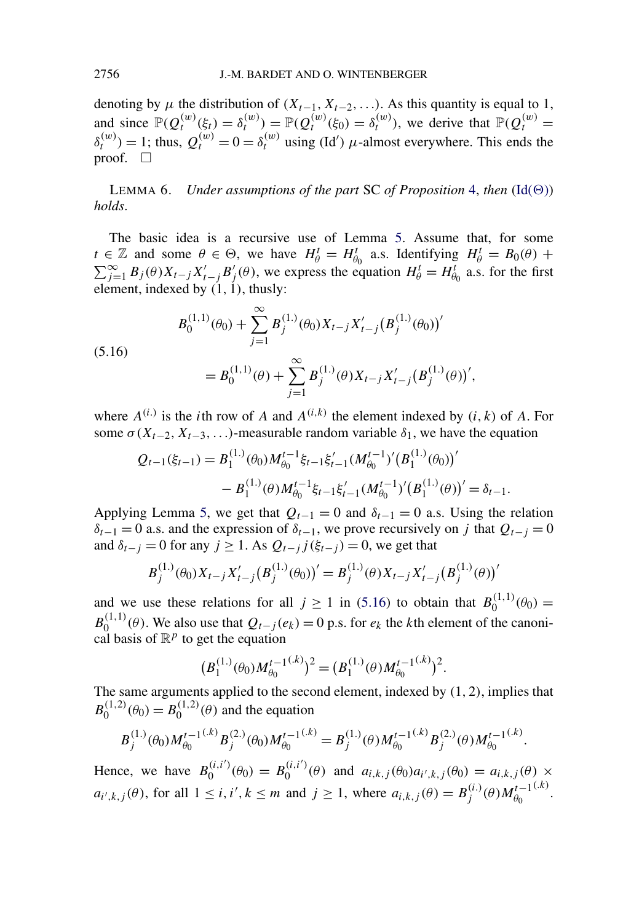<span id="page-26-0"></span>denoting by  $\mu$  the distribution of  $(X_{t-1}, X_{t-2}, \ldots)$ . As this quantity is equal to 1, and since  $\mathbb{P}(Q_t^{(w)}(\xi_t) = \delta_t^{(w)}) = \mathbb{P}(Q_t^{(w)}(\xi_0) = \delta_t^{(w)})$ , we derive that  $\mathbb{P}(Q_t^{(w)} =$  $\delta_t^{(w)}$ ) = 1; thus,  $Q_t^{(w)} = 0 = \delta_t^{(w)}$  using (Id') *μ*-almost everywhere. This ends the proof.  $\Box$ 

LEMMA 6. *Under assumptions of the part* SC *of Proposition* [4,](#page-10-0) *then*  $(\text{Id}(\Theta))$ *holds*.

The basic idea is a recursive use of Lemma [5.](#page-25-0) Assume that, for some  $t \in \mathbb{Z}$  and some  $\theta \in \Theta$ , we have  $H^t_{\theta} = H^t_{\theta_0}$  a.s. Identifying  $H^t_{\theta} = B_0(\theta) +$  $\sum_{j=1}^{\infty} B_j(\theta) X_{t-j} X'_{t-j} B'_{j}(\theta)$ , we express the equation  $H^t_{\theta} = H^t_{\theta_0}$  a.s. for the first element, indexed by *(*1*,* 1*)*, thusly:

(5.16)  

$$
B_0^{(1,1)}(\theta_0) + \sum_{j=1}^{\infty} B_j^{(1,1)}(\theta_0) X_{t-j} X'_{t-j} (B_j^{(1,1)}(\theta_0))'
$$

$$
= B_0^{(1,1)}(\theta) + \sum_{j=1}^{\infty} B_j^{(1,1)}(\theta) X_{t-j} X'_{t-j} (B_j^{(1,1)}(\theta))',
$$

where  $A^{(i)}$  is the *i*th row of *A* and  $A^{(i,k)}$  the element indexed by  $(i, k)$  of *A*. For some  $\sigma(X_{t-2}, X_{t-3}, \ldots)$ -measurable random variable  $\delta_1$ , we have the equation

$$
Q_{t-1}(\xi_{t-1}) = B_1^{(1)}(\theta_0) M_{\theta_0}^{t-1} \xi_{t-1} \xi_{t-1}' (M_{\theta_0}^{t-1})' (B_1^{(1)}(\theta_0))'
$$
  
-  $B_1^{(1)}(\theta) M_{\theta_0}^{t-1} \xi_{t-1} \xi_{t-1}' (M_{\theta_0}^{t-1})' (B_1^{(1)}(\theta))' = \delta_{t-1}.$ 

Applying Lemma [5,](#page-25-0) we get that  $Q_{t-1} = 0$  and  $\delta_{t-1} = 0$  a.s. Using the relation  $\delta_{t-1} = 0$  a.s. and the expression of  $\delta_{t-1}$ , we prove recursively on *j* that  $Q_{t-1} = 0$ and  $\delta_{t-j} = 0$  for any  $j \ge 1$ . As  $Q_{t-j}$   $j(\xi_{t-j}) = 0$ , we get that

$$
B_j^{(1.)}(\theta_0)X_{t-j}X_{t-j}'(B_j^{(1.)}(\theta_0))' = B_j^{(1.)}(\theta)X_{t-j}X_{t-j}'(B_j^{(1.)}(\theta))'
$$

and we use these relations for all  $j \ge 1$  in (5.16) to obtain that  $B_0^{(1,1)}(\theta_0) =$  $B_0^{(1,1)}(\theta)$ . We also use that  $Q_{t-j}(e_k) = 0$  p.s. for  $e_k$  the *k*th element of the canonical basis of  $\mathbb{R}^p$  to get the equation

$$
(B_1^{(1.)}(\theta_0)M_{\theta_0}^{t-1^{(k)}})^2 = (B_1^{(1.)}(\theta)M_{\theta_0}^{t-1^{(k)}})^2.
$$

The same arguments applied to the second element, indexed by *(*1*,* 2*)*, implies that  $B_0^{(1,2)}(\theta_0) = B_0^{(1,2)}(\theta)$  and the equation

$$
B_j^{(1.)}(\theta_0)M_{\theta_0}^{t-1^{(k)}}B_j^{(2.)}(\theta_0)M_{\theta_0}^{t-1^{(k)}} = B_j^{(1.)}(\theta)M_{\theta_0}^{t-1^{(k)}}B_j^{(2.)}(\theta)M_{\theta_0}^{t-1^{(k)}}.
$$

Hence, we have  $B_0^{(i,i')}(\theta_0) = B_0^{(i,i')}(\theta)$  and  $a_{i,k,j}(\theta_0)a_{i',k,j}(\theta_0) = a_{i,k,j}(\theta) \times$  $a_{i',k,j}(\theta)$ , for all  $1 \le i, i', k \le m$  and  $j \ge 1$ , where  $a_{i,k,j}(\theta) = B_j^{(i)}(\theta)M_{\theta_0}^{t-1}(k)$ .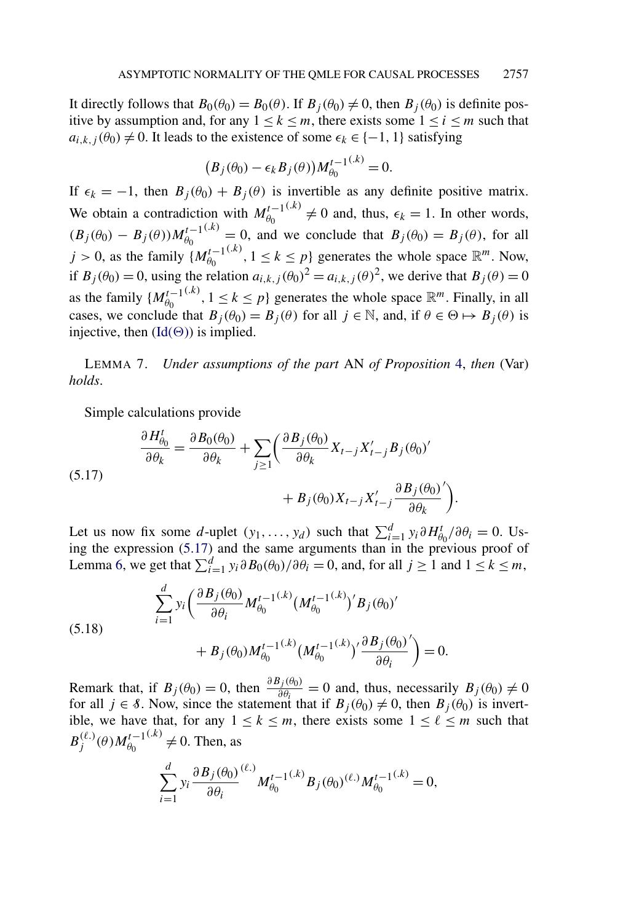<span id="page-27-0"></span>It directly follows that  $B_0(\theta_0) = B_0(\theta)$ . If  $B_j(\theta_0) \neq 0$ , then  $B_j(\theta_0)$  is definite positive by assumption and, for any  $1 \leq k \leq m$ , there exists some  $1 \leq i \leq m$  such that  $a_{i,k,j}(\theta_0) \neq 0$ . It leads to the existence of some  $\epsilon_k \in \{-1, 1\}$  satisfying

$$
(B_j(\theta_0) - \epsilon_k B_j(\theta))M_{\theta_0}^{t-1^{(k)}} = 0.
$$

If  $\epsilon_k = -1$ , then  $B_j(\theta_0) + B_j(\theta)$  is invertible as any definite positive matrix. We obtain a contradiction with  $M_{\theta_0}^{t-1}(k) \neq 0$  and, thus,  $\epsilon_k = 1$ . In other words,  $(B_j(\theta_0) - B_j(\theta))M_{\theta_0}^{t-1(k)} = 0$ , and we conclude that  $B_j(\theta_0) = B_j(\theta)$ , for all  $j > 0$ , as the family  $\{M_{\theta_0}^{t-1}(k), 1 \le k \le p\}$  generates the whole space  $\mathbb{R}^m$ . Now, if  $B_j(\theta_0) = 0$ , using the relation  $a_{i,k,j}(\theta_0)^2 = a_{i,k,j}(\theta)^2$ , we derive that  $B_j(\theta) = 0$ as the family  $\{M_{\theta_0}^{t-1}(k), 1 \leq k \leq p\}$  generates the whole space  $\mathbb{R}^m$ . Finally, in all cases, we conclude that  $B_j(\theta_0) = B_j(\theta)$  for all  $j \in \mathbb{N}$ , and, if  $\theta \in \Theta \mapsto B_j(\theta)$  is injective, then  $(\text{Id}(\Theta))$  is implied.

LEMMA 7. *Under assumptions of the part* AN *of Proposition* [4,](#page-10-0) *then* (Var) *holds*.

Simple calculations provide

(5.17) 
$$
\frac{\partial H_{\theta_0}^t}{\partial \theta_k} = \frac{\partial B_0(\theta_0)}{\partial \theta_k} + \sum_{j \ge 1} \left( \frac{\partial B_j(\theta_0)}{\partial \theta_k} X_{t-j} X'_{t-j} B_j(\theta_0)' + B_j(\theta_0) X_{t-j} X'_{t-j} \frac{\partial B_j(\theta_0)}{\partial \theta_k'} \right).
$$

Let us now fix some *d*-uplet  $(y_1, \ldots, y_d)$  such that  $\sum_{i=1}^d y_i \partial H_{\theta_0}^t / \partial \theta_i = 0$ . Using the expression (5.17) and the same arguments than in the previous proof of Lemma [6,](#page-26-0) we get that  $\sum_{i=1}^{d} y_i \frac{\partial B_0(\theta_0)}{\partial \theta_i} = 0$ , and, for all  $j \ge 1$  and  $1 \le k \le m$ ,

(5.18) 
$$
\sum_{i=1}^{d} y_i \left( \frac{\partial B_j(\theta_0)}{\partial \theta_i} M_{\theta_0}^{t-1^{(k)}} (M_{\theta_0}^{t-1^{(k)}})' B_j(\theta_0)' + B_j(\theta_0) M_{\theta_0}^{t-1^{(k)}} (M_{\theta_0}^{t-1^{(k)}})' \frac{\partial B_j(\theta_0)}{\partial \theta_i}' \right) = 0.
$$

Remark that, if  $B_j(\theta_0) = 0$ , then  $\frac{\partial B_j(\theta_0)}{\partial \theta_i} = 0$  and, thus, necessarily  $B_j(\theta_0) \neq 0$ for all  $j \in \mathcal{S}$ . Now, since the statement that if  $B_j(\theta_0) \neq 0$ , then  $B_j(\theta_0)$  is invertible, we have that, for any  $1 \leq k \leq m$ , there exists some  $1 \leq \ell \leq m$  such that  $B_j^{(\ell.)}(\theta)M_{\theta_0}^{t-1^{(\ell.)}} \neq 0$ . Then, as

$$
\sum_{i=1}^d y_i \frac{\partial B_j(\theta_0)}{\partial \theta_i}^{(\ell.)} M_{\theta_0}^{t-1^{(\ell.)}} B_j(\theta_0)^{(\ell.)} M_{\theta_0}^{t-1^{(\ell.)}} = 0,
$$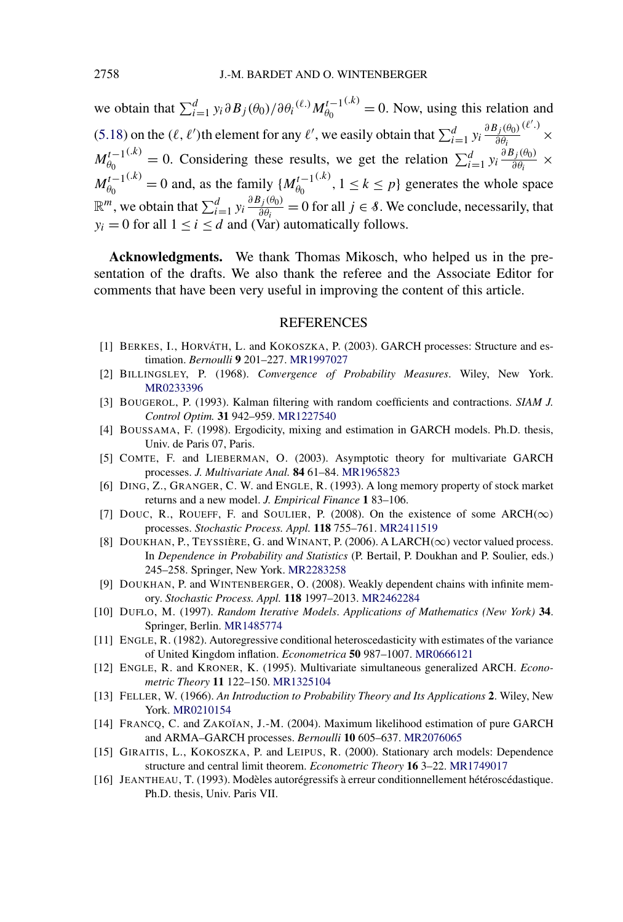<span id="page-28-0"></span>we obtain that  $\sum_{i=1}^{d} y_i \partial B_j(\theta_0) / \partial \theta_i^{(\ell)} M_{\theta_0}^{t-1}$ <sup>(*k*)</sup> = 0. Now, using this relation and [\(5.18\)](#page-27-0) on the  $(\ell, \ell')$ th element for any  $\ell'$ , we easily obtain that  $\sum_{i=1}^d y_i \frac{\partial B_j(\theta_0)}{\partial \theta_i}$ *∂θi ( .)* ×  $M_{\theta_0}^{t-1(k)} = 0$ . Considering these results, we get the relation  $\sum_{i=1}^d y_i \frac{\partial B_j(\theta_0)}{\partial \theta_i} \times$  $M_{\theta_0}^{t-1}(k) = 0$  and, as the family  $\{M_{\theta_0}^{t-1}(k), 1 \le k \le p\}$  generates the whole space  $\mathbb{R}^m$ , we obtain that  $\sum_{i=1}^d y_i \frac{\partial B_j(\theta_0)}{\partial \theta_i} = 0$  for all  $j \in \mathcal{S}$ . We conclude, necessarily, that  $y_i = 0$  for all  $1 \le i \le d$  and (Var) automatically follows.

**Acknowledgments.** We thank Thomas Mikosch, who helped us in the presentation of the drafts. We also thank the referee and the Associate Editor for comments that have been very useful in improving the content of this article.

#### REFERENCES

- [1] BERKES, I., HORVÁTH, L. and KOKOSZKA, P. (2003). GARCH processes: Structure and estimation. *Bernoulli* **9** 201–227. [MR1997027](http://www.ams.org/mathscinet-getitem?mr=1997027)
- [2] BILLINGSLEY, P. (1968). *Convergence of Probability Measures*. Wiley, New York. [MR0233396](http://www.ams.org/mathscinet-getitem?mr=0233396)
- [3] BOUGEROL, P. (1993). Kalman filtering with random coefficients and contractions. *SIAM J. Control Optim.* **31** 942–959. [MR1227540](http://www.ams.org/mathscinet-getitem?mr=1227540)
- [4] BOUSSAMA, F. (1998). Ergodicity, mixing and estimation in GARCH models. Ph.D. thesis, Univ. de Paris 07, Paris.
- [5] COMTE, F. and LIEBERMAN, O. (2003). Asymptotic theory for multivariate GARCH processes. *J. Multivariate Anal.* **84** 61–84. [MR1965823](http://www.ams.org/mathscinet-getitem?mr=1965823)
- [6] DING, Z., GRANGER, C. W. and ENGLE, R. (1993). A long memory property of stock market returns and a new model. *J. Empirical Finance* **1** 83–106.
- [7] DOUC, R., ROUEFF, F. and SOULIER, P. (2008). On the existence of some  $ARCH(\infty)$ processes. *Stochastic Process. Appl.* **118** 755–761. [MR2411519](http://www.ams.org/mathscinet-getitem?mr=2411519)
- [8] DOUKHAN, P., TEYSSIÈRE, G. and WINANT, P. (2006). A LARCH*(*∞*)* vector valued process. In *Dependence in Probability and Statistics* (P. Bertail, P. Doukhan and P. Soulier, eds.) 245–258. Springer, New York. [MR2283258](http://www.ams.org/mathscinet-getitem?mr=2283258)
- [9] DOUKHAN, P. and WINTENBERGER, O. (2008). Weakly dependent chains with infinite memory. *Stochastic Process. Appl.* **118** 1997–2013. [MR2462284](http://www.ams.org/mathscinet-getitem?mr=2462284)
- [10] DUFLO, M. (1997). *Random Iterative Models*. *Applications of Mathematics (New York)* **34**. Springer, Berlin. [MR1485774](http://www.ams.org/mathscinet-getitem?mr=1485774)
- [11] ENGLE, R. (1982). Autoregressive conditional heteroscedasticity with estimates of the variance of United Kingdom inflation. *Econometrica* **50** 987–1007. [MR0666121](http://www.ams.org/mathscinet-getitem?mr=0666121)
- [12] ENGLE, R. and KRONER, K. (1995). Multivariate simultaneous generalized ARCH. *Econometric Theory* **11** 122–150. [MR1325104](http://www.ams.org/mathscinet-getitem?mr=1325104)
- [13] FELLER, W. (1966). *An Introduction to Probability Theory and Its Applications* **2**. Wiley, New York. [MR0210154](http://www.ams.org/mathscinet-getitem?mr=0210154)
- [14] FRANCQ, C. and ZAKOÏAN, J.-M. (2004). Maximum likelihood estimation of pure GARCH and ARMA–GARCH processes. *Bernoulli* **10** 605–637. [MR2076065](http://www.ams.org/mathscinet-getitem?mr=2076065)
- [15] GIRAITIS, L., KOKOSZKA, P. and LEIPUS, R. (2000). Stationary arch models: Dependence structure and central limit theorem. *Econometric Theory* **16** 3–22. [MR1749017](http://www.ams.org/mathscinet-getitem?mr=1749017)
- [16] JEANTHEAU, T. (1993). Modèles autorégressifs à erreur conditionnellement hétéroscédastique. Ph.D. thesis, Univ. Paris VII.